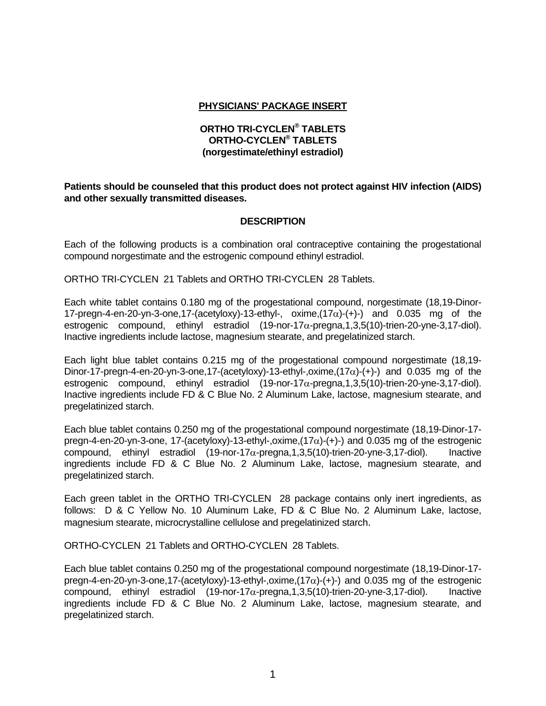#### **PHYSICIANS' PACKAGE INSERT**

#### **ORTHO TRI-CYCLEN® TABLETS ORTHO-CYCLEN® TABLETS (norgestimate/ethinyl estradiol)**

#### **Patients should be counseled that this product does not protect against HIV infection (AIDS) and other sexually transmitted diseases.**

#### **DESCRIPTION**

Each of the following products is a combination oral contraceptive containing the progestational compound norgestimate and the estrogenic compound ethinyl estradiol.

ORTHO TRI-CYCLEN 21 Tablets and ORTHO TRI-CYCLEN 28 Tablets.

Each white tablet contains 0.180 mg of the progestational compound, norgestimate (18,19-Dinor-17-pregn-4-en-20-yn-3-one,17-(acetyloxy)-13-ethyl-, oxime, $(17\alpha)$ - $(+)$  and 0.035 mg of the estrogenic compound, ethinyl estradiol (19-nor-17α-pregna,1,3,5(10)-trien-20-yne-3,17-diol). Inactive ingredients include lactose, magnesium stearate, and pregelatinized starch.

Each light blue tablet contains 0.215 mg of the progestational compound norgestimate (18,19- Dinor-17-pregn-4-en-20-yn-3-one,17-(acetyloxy)-13-ethyl-,oxime, $(17\alpha)$ -(+)-) and 0.035 mg of the estrogenic compound, ethinyl estradiol (19-nor-17α-pregna,1,3,5(10)-trien-20-yne-3,17-diol). Inactive ingredients include FD & C Blue No. 2 Aluminum Lake, lactose, magnesium stearate, and pregelatinized starch.

Each blue tablet contains 0.250 mg of the progestational compound norgestimate (18,19-Dinor-17 pregn-4-en-20-yn-3-one, 17-(acetyloxy)-13-ethyl-,oxime, $(17\alpha)$ -(+)-) and 0.035 mg of the estrogenic compound, ethinyl estradiol  $(19$ -nor-17α-pregna,1,3,5(10)-trien-20-yne-3,17-diol). Inactive ingredients include FD & C Blue No. 2 Aluminum Lake, lactose, magnesium stearate, and pregelatinized starch.

Each green tablet in the ORTHO TRI-CYCLEN 28 package contains only inert ingredients, as follows: D & C Yellow No. 10 Aluminum Lake, FD & C Blue No. 2 Aluminum Lake, lactose, magnesium stearate, microcrystalline cellulose and pregelatinized starch.

ORTHO-CYCLEN 21 Tablets and ORTHO-CYCLEN 28 Tablets.

Each blue tablet contains 0.250 mg of the progestational compound norgestimate (18,19-Dinor-17 pregn-4-en-20-yn-3-one,17-(acetyloxy)-13-ethyl-,oxime,(17 $\alpha$ )-(+)-) and 0.035 mg of the estrogenic compound, ethinyl estradiol  $(19\text{-}n^{\text{-}}17\alpha\text{-}pregna, 1, 3, 5(10)\text{-}trien-20\text{-}yne-3, 17\text{-}diol)$ . Inactive ingredients include FD & C Blue No. 2 Aluminum Lake, lactose, magnesium stearate, and pregelatinized starch.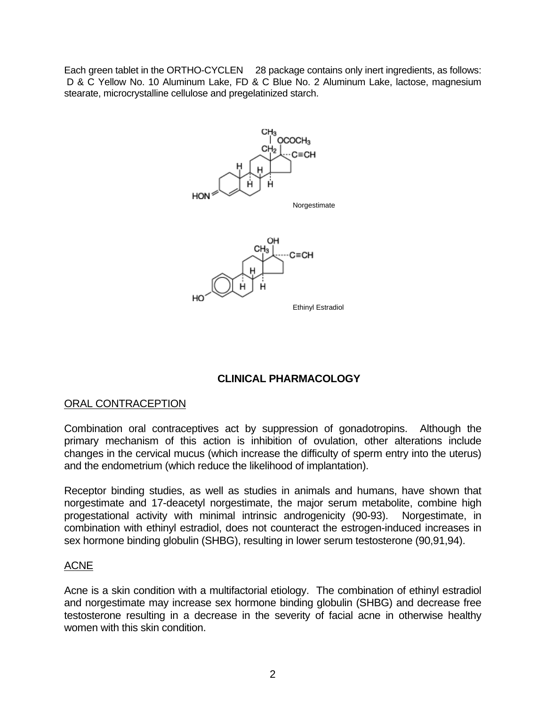Each green tablet in the ORTHO-CYCLEN 28 package contains only inert ingredients, as follows: D & C Yellow No. 10 Aluminum Lake, FD & C Blue No. 2 Aluminum Lake, lactose, magnesium stearate, microcrystalline cellulose and pregelatinized starch.



# **CLINICAL PHARMACOLOGY**

# ORAL CONTRACEPTION

Combination oral contraceptives act by suppression of gonadotropins. Although the primary mechanism of this action is inhibition of ovulation, other alterations include changes in the cervical mucus (which increase the difficulty of sperm entry into the uterus) and the endometrium (which reduce the likelihood of implantation).

Receptor binding studies, as well as studies in animals and humans, have shown that norgestimate and 17-deacetyl norgestimate, the major serum metabolite, combine high progestational activity with minimal intrinsic androgenicity (90-93). Norgestimate, in combination with ethinyl estradiol, does not counteract the estrogen-induced increases in sex hormone binding globulin (SHBG), resulting in lower serum testosterone (90,91,94).

# ACNE

Acne is a skin condition with a multifactorial etiology. The combination of ethinyl estradiol and norgestimate may increase sex hormone binding globulin (SHBG) and decrease free testosterone resulting in a decrease in the severity of facial acne in otherwise healthy women with this skin condition.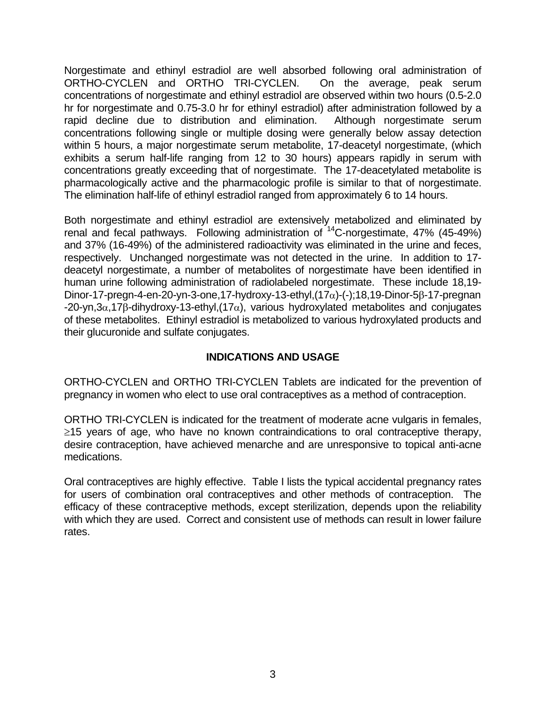Norgestimate and ethinyl estradiol are well absorbed following oral administration of ORTHO-CYCLEN and ORTHO TRI-CYCLEN. On the average, peak serum concentrations of norgestimate and ethinyl estradiol are observed within two hours (0.5-2.0 hr for norgestimate and 0.75-3.0 hr for ethinyl estradiol) after administration followed by a rapid decline due to distribution and elimination. Although norgestimate serum concentrations following single or multiple dosing were generally below assay detection within 5 hours, a major norgestimate serum metabolite, 17-deacetyl norgestimate, (which exhibits a serum half-life ranging from 12 to 30 hours) appears rapidly in serum with concentrations greatly exceeding that of norgestimate. The 17-deacetylated metabolite is pharmacologically active and the pharmacologic profile is similar to that of norgestimate. The elimination half-life of ethinyl estradiol ranged from approximately 6 to 14 hours.

Both norgestimate and ethinyl estradiol are extensively metabolized and eliminated by renal and fecal pathways. Following administration of  $14$ C-norgestimate, 47% (45-49%) and 37% (16-49%) of the administered radioactivity was eliminated in the urine and feces, respectively. Unchanged norgestimate was not detected in the urine. In addition to 17 deacetyl norgestimate, a number of metabolites of norgestimate have been identified in human urine following administration of radiolabeled norgestimate. These include 18,19- Dinor-17-pregn-4-en-20-yn-3-one,17-hydroxy-13-ethyl, $(17\alpha)$ -(-);18,19-Dinor-5β-17-pregnan -20-yn,3 $\alpha$ ,17β-dihydroxy-13-ethyl,(17 $\alpha$ ), various hydroxylated metabolites and conjugates of these metabolites. Ethinyl estradiol is metabolized to various hydroxylated products and their glucuronide and sulfate conjugates.

# **INDICATIONS AND USAGE**

ORTHO-CYCLEN and ORTHO TRI-CYCLEN Tablets are indicated for the prevention of pregnancy in women who elect to use oral contraceptives as a method of contraception.

ORTHO TRI-CYCLEN is indicated for the treatment of moderate acne vulgaris in females, ≥15 years of age, who have no known contraindications to oral contraceptive therapy, desire contraception, have achieved menarche and are unresponsive to topical anti-acne medications.

Oral contraceptives are highly effective. Table I lists the typical accidental pregnancy rates for users of combination oral contraceptives and other methods of contraception. The efficacy of these contraceptive methods, except sterilization, depends upon the reliability with which they are used. Correct and consistent use of methods can result in lower failure rates.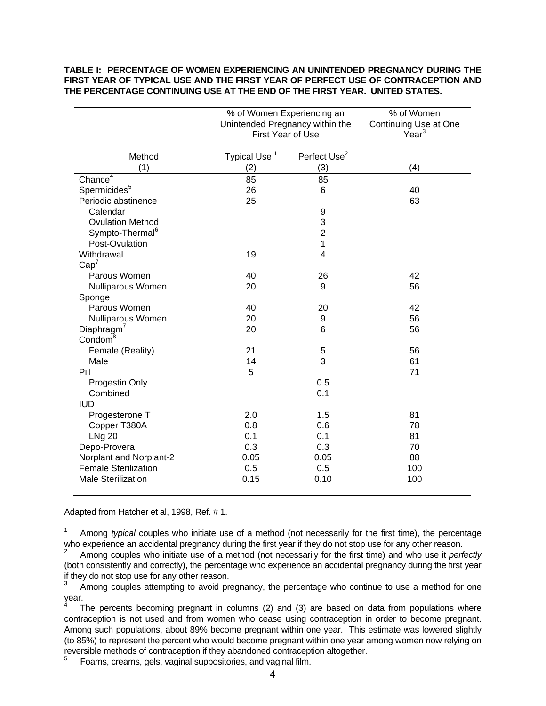#### **TABLE I: PERCENTAGE OF WOMEN EXPERIENCING AN UNINTENDED PREGNANCY DURING THE FIRST YEAR OF TYPICAL USE AND THE FIRST YEAR OF PERFECT USE OF CONTRACEPTION AND THE PERCENTAGE CONTINUING USE AT THE END OF THE FIRST YEAR. UNITED STATES.**

|                             | % of Women Experiencing an      |                          | % of Women            |  |  |  |
|-----------------------------|---------------------------------|--------------------------|-----------------------|--|--|--|
|                             | Unintended Pregnancy within the |                          | Continuing Use at One |  |  |  |
|                             | <b>First Year of Use</b>        |                          | Year <sup>3</sup>     |  |  |  |
|                             |                                 |                          |                       |  |  |  |
| Method                      | Typical Use <sup>1</sup>        | Perfect Use <sup>2</sup> |                       |  |  |  |
| (1)                         | (2)                             | (3)                      | (4)                   |  |  |  |
| Chance $4$                  | 85                              | 85                       |                       |  |  |  |
| Spermicides <sup>5</sup>    | 26                              | 6                        | 40                    |  |  |  |
| Periodic abstinence         | 25                              |                          | 63                    |  |  |  |
| Calendar                    |                                 | 9                        |                       |  |  |  |
| <b>Ovulation Method</b>     |                                 | 3                        |                       |  |  |  |
| Sympto-Thermal <sup>6</sup> |                                 | $\overline{2}$           |                       |  |  |  |
| Post-Ovulation              |                                 | 1                        |                       |  |  |  |
| Withdrawal                  | 19                              | 4                        |                       |  |  |  |
| Cap <sup>7</sup>            |                                 |                          |                       |  |  |  |
| Parous Women                | 40                              | 26                       | 42                    |  |  |  |
| Nulliparous Women           | 20                              | 9                        | 56                    |  |  |  |
| Sponge                      |                                 |                          |                       |  |  |  |
| Parous Women                | 40                              | 20                       | 42                    |  |  |  |
| Nulliparous Women           | 20                              | 9                        | 56                    |  |  |  |
| Diaphragm <sup>7</sup>      | 20                              | 6                        | 56                    |  |  |  |
| Condom <sup>8</sup>         |                                 |                          |                       |  |  |  |
| Female (Reality)            | 21                              | 5                        | 56                    |  |  |  |
| Male                        | 14                              | 3                        | 61                    |  |  |  |
| Pill                        | 5                               |                          | 71                    |  |  |  |
| Progestin Only              |                                 | 0.5                      |                       |  |  |  |
| Combined                    |                                 | 0.1                      |                       |  |  |  |
| <b>IUD</b>                  |                                 |                          |                       |  |  |  |
| Progesterone T              | 2.0                             | 1.5                      | 81                    |  |  |  |
| Copper T380A                | 0.8                             | 0.6                      | 78                    |  |  |  |
| <b>LNg 20</b>               | 0.1                             | 0.1                      | 81                    |  |  |  |
| Depo-Provera                | 0.3                             | 0.3                      | 70                    |  |  |  |
| Norplant and Norplant-2     | 0.05                            | 0.05                     | 88                    |  |  |  |
| <b>Female Sterilization</b> | 0.5                             | 0.5                      | 100                   |  |  |  |
| <b>Male Sterilization</b>   | 0.15                            | 0.10                     | 100                   |  |  |  |
|                             |                                 |                          |                       |  |  |  |

Adapted from Hatcher et al, 1998, Ref. # 1.

1 Among *typical* couples who initiate use of a method (not necessarily for the first time), the percentage who experience an accidental pregnancy during the first year if they do not stop use for any other reason.

2 Among couples who initiate use of a method (not necessarily for the first time) and who use it *perfectly* (both consistently and correctly), the percentage who experience an accidental pregnancy during the first year if they do not stop use for any other reason.

3 Among couples attempting to avoid pregnancy, the percentage who continue to use a method for one year.<br><sup>4</sup>

 The percents becoming pregnant in columns (2) and (3) are based on data from populations where contraception is not used and from women who cease using contraception in order to become pregnant. Among such populations, about 89% become pregnant within one year. This estimate was lowered slightly (to 85%) to represent the percent who would become pregnant within one year among women now relying on reversible methods of contraception if they abandoned contraception altogether.

5 Foams, creams, gels, vaginal suppositories, and vaginal film.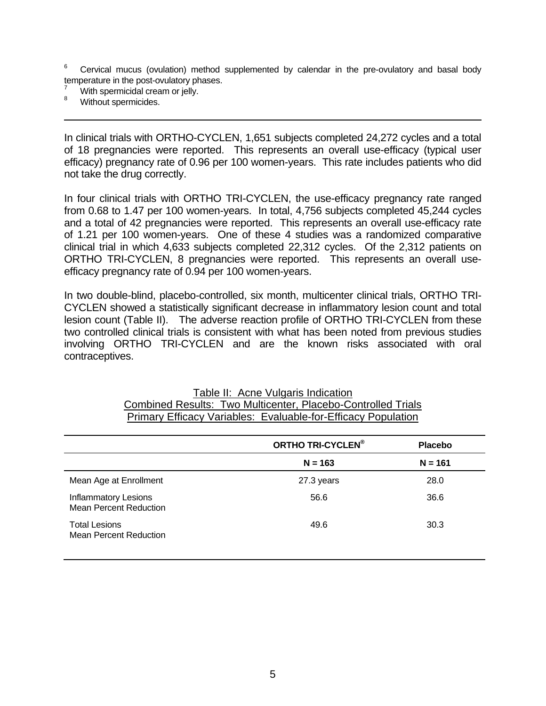$6$  Cervical mucus (ovulation) method supplemented by calendar in the pre-ovulatory and basal body temperature in the post-ovulatory phases.

- 7 With spermicidal cream or jelly.
- 8 Without spermicides.

In clinical trials with ORTHO-CYCLEN, 1,651 subjects completed 24,272 cycles and a total of 18 pregnancies were reported. This represents an overall use-efficacy (typical user efficacy) pregnancy rate of 0.96 per 100 women-years. This rate includes patients who did not take the drug correctly.

In four clinical trials with ORTHO TRI-CYCLEN, the use-efficacy pregnancy rate ranged from 0.68 to 1.47 per 100 women-years. In total, 4,756 subjects completed 45,244 cycles and a total of 42 pregnancies were reported. This represents an overall use-efficacy rate of 1.21 per 100 women-years. One of these 4 studies was a randomized comparative clinical trial in which 4,633 subjects completed 22,312 cycles. Of the 2,312 patients on ORTHO TRI-CYCLEN, 8 pregnancies were reported. This represents an overall useefficacy pregnancy rate of 0.94 per 100 women-years.

In two double-blind, placebo-controlled, six month, multicenter clinical trials, ORTHO TRI-CYCLEN showed a statistically significant decrease in inflammatory lesion count and total lesion count (Table II). The adverse reaction profile of ORTHO TRI-CYCLEN from these two controlled clinical trials is consistent with what has been noted from previous studies involving ORTHO TRI-CYCLEN and are the known risks associated with oral contraceptives.

|                                                              | ORTHO TRI-CYCLEN® | <b>Placebo</b> |
|--------------------------------------------------------------|-------------------|----------------|
|                                                              | $N = 163$         | $N = 161$      |
| Mean Age at Enrollment                                       | 27.3 years        | 28.0           |
| <b>Inflammatory Lesions</b><br><b>Mean Percent Reduction</b> | 56.6              | 36.6           |
| <b>Total Lesions</b><br><b>Mean Percent Reduction</b>        | 49.6              | 30.3           |

#### Table II: Acne Vulgaris Indication Combined Results: Two Multicenter, Placebo-Controlled Trials Primary Efficacy Variables: Evaluable-for-Efficacy Population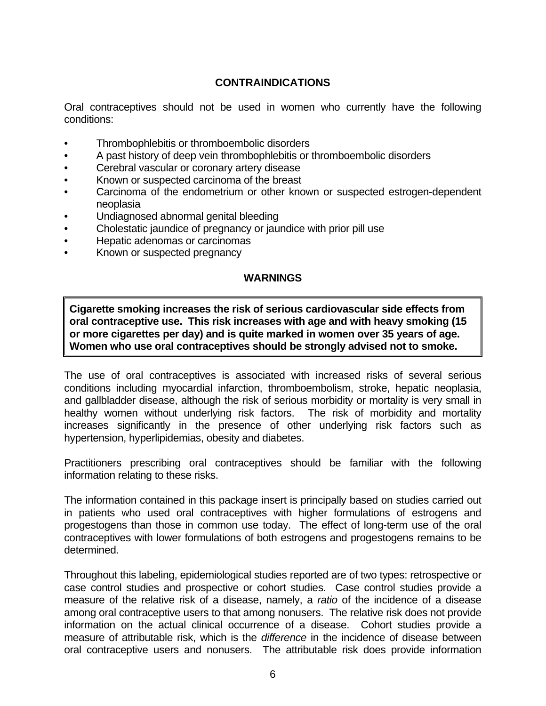# **CONTRAINDICATIONS**

Oral contraceptives should not be used in women who currently have the following conditions:

- Thrombophlebitis or thromboembolic disorders
- A past history of deep vein thrombophlebitis or thromboembolic disorders
- Cerebral vascular or coronary artery disease
- Known or suspected carcinoma of the breast
- Carcinoma of the endometrium or other known or suspected estrogen-dependent neoplasia
- Undiagnosed abnormal genital bleeding
- Cholestatic jaundice of pregnancy or jaundice with prior pill use
- Hepatic adenomas or carcinomas
- Known or suspected pregnancy

#### **WARNINGS**

**Cigarette smoking increases the risk of serious cardiovascular side effects from oral contraceptive use. This risk increases with age and with heavy smoking (15 or more cigarettes per day) and is quite marked in women over 35 years of age. Women who use oral contraceptives should be strongly advised not to smoke.**

The use of oral contraceptives is associated with increased risks of several serious conditions including myocardial infarction, thromboembolism, stroke, hepatic neoplasia, and gallbladder disease, although the risk of serious morbidity or mortality is very small in healthy women without underlying risk factors. The risk of morbidity and mortality increases significantly in the presence of other underlying risk factors such as hypertension, hyperlipidemias, obesity and diabetes.

Practitioners prescribing oral contraceptives should be familiar with the following information relating to these risks.

The information contained in this package insert is principally based on studies carried out in patients who used oral contraceptives with higher formulations of estrogens and progestogens than those in common use today. The effect of long-term use of the oral contraceptives with lower formulations of both estrogens and progestogens remains to be determined.

Throughout this labeling, epidemiological studies reported are of two types: retrospective or case control studies and prospective or cohort studies. Case control studies provide a measure of the relative risk of a disease, namely, a *ratio* of the incidence of a disease among oral contraceptive users to that among nonusers. The relative risk does not provide information on the actual clinical occurrence of a disease. Cohort studies provide a measure of attributable risk, which is the *difference* in the incidence of disease between oral contraceptive users and nonusers. The attributable risk does provide information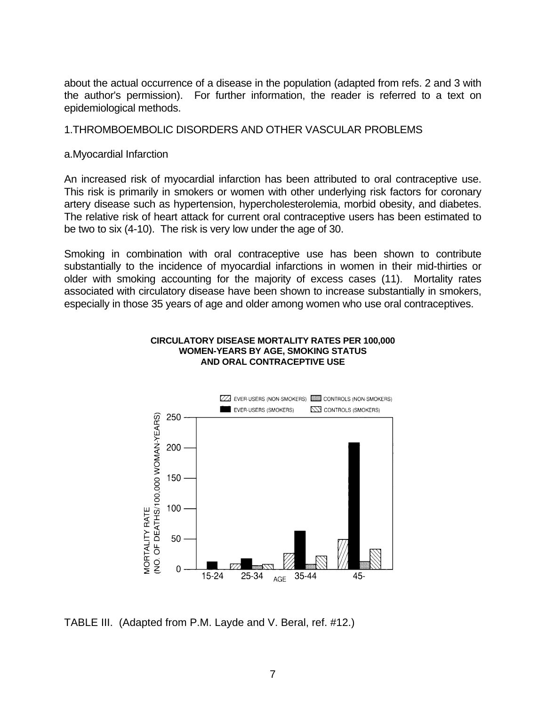about the actual occurrence of a disease in the population (adapted from refs. 2 and 3 with the author's permission). For further information, the reader is referred to a text on epidemiological methods.

#### 1.THROMBOEMBOLIC DISORDERS AND OTHER VASCULAR PROBLEMS

#### a.Myocardial Infarction

An increased risk of myocardial infarction has been attributed to oral contraceptive use. This risk is primarily in smokers or women with other underlying risk factors for coronary artery disease such as hypertension, hypercholesterolemia, morbid obesity, and diabetes. The relative risk of heart attack for current oral contraceptive users has been estimated to be two to six (4-10). The risk is very low under the age of 30.

Smoking in combination with oral contraceptive use has been shown to contribute substantially to the incidence of myocardial infarctions in women in their mid-thirties or older with smoking accounting for the majority of excess cases (11). Mortality rates associated with circulatory disease have been shown to increase substantially in smokers, especially in those 35 years of age and older among women who use oral contraceptives.



#### **CIRCULATORY DISEASE MORTALITY RATES PER 100,000 WOMEN-YEARS BY AGE, SMOKING STATUS AND ORAL CONTRACEPTIVE USE**

TABLE III. (Adapted from P.M. Layde and V. Beral, ref. #12.)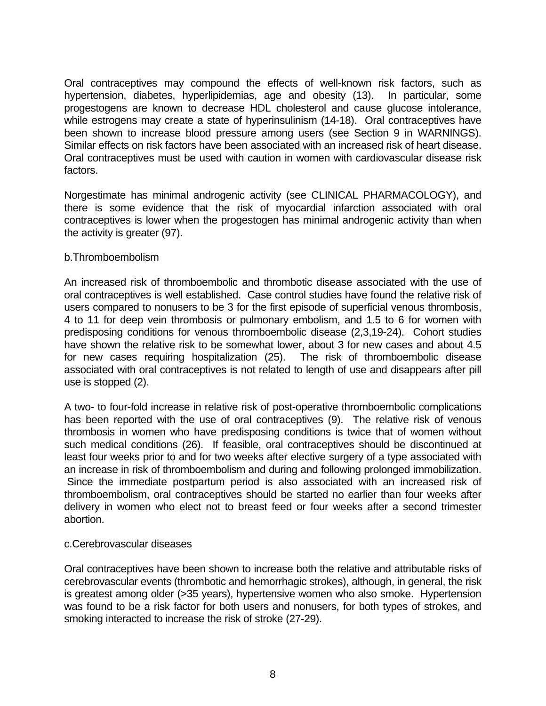Oral contraceptives may compound the effects of well-known risk factors, such as hypertension, diabetes, hyperlipidemias, age and obesity (13). In particular, some progestogens are known to decrease HDL cholesterol and cause glucose intolerance, while estrogens may create a state of hyperinsulinism (14-18). Oral contraceptives have been shown to increase blood pressure among users (see Section 9 in WARNINGS). Similar effects on risk factors have been associated with an increased risk of heart disease. Oral contraceptives must be used with caution in women with cardiovascular disease risk factors.

Norgestimate has minimal androgenic activity (see CLINICAL PHARMACOLOGY), and there is some evidence that the risk of myocardial infarction associated with oral contraceptives is lower when the progestogen has minimal androgenic activity than when the activity is greater (97).

#### b.Thromboembolism

An increased risk of thromboembolic and thrombotic disease associated with the use of oral contraceptives is well established. Case control studies have found the relative risk of users compared to nonusers to be 3 for the first episode of superficial venous thrombosis, 4 to 11 for deep vein thrombosis or pulmonary embolism, and 1.5 to 6 for women with predisposing conditions for venous thromboembolic disease (2,3,19-24). Cohort studies have shown the relative risk to be somewhat lower, about 3 for new cases and about 4.5 for new cases requiring hospitalization (25). The risk of thromboembolic disease associated with oral contraceptives is not related to length of use and disappears after pill use is stopped (2).

A two- to four-fold increase in relative risk of post-operative thromboembolic complications has been reported with the use of oral contraceptives (9). The relative risk of venous thrombosis in women who have predisposing conditions is twice that of women without such medical conditions (26). If feasible, oral contraceptives should be discontinued at least four weeks prior to and for two weeks after elective surgery of a type associated with an increase in risk of thromboembolism and during and following prolonged immobilization. Since the immediate postpartum period is also associated with an increased risk of thromboembolism, oral contraceptives should be started no earlier than four weeks after delivery in women who elect not to breast feed or four weeks after a second trimester abortion.

## c.Cerebrovascular diseases

Oral contraceptives have been shown to increase both the relative and attributable risks of cerebrovascular events (thrombotic and hemorrhagic strokes), although, in general, the risk is greatest among older (>35 years), hypertensive women who also smoke. Hypertension was found to be a risk factor for both users and nonusers, for both types of strokes, and smoking interacted to increase the risk of stroke (27-29).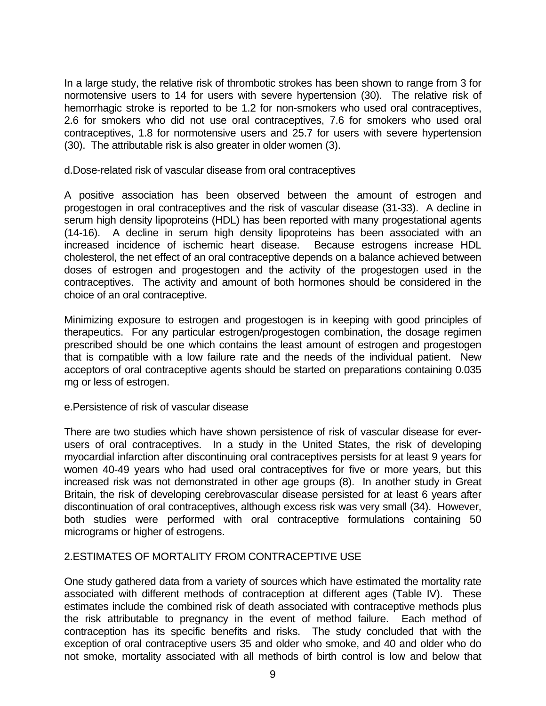In a large study, the relative risk of thrombotic strokes has been shown to range from 3 for normotensive users to 14 for users with severe hypertension (30). The relative risk of hemorrhagic stroke is reported to be 1.2 for non-smokers who used oral contraceptives, 2.6 for smokers who did not use oral contraceptives, 7.6 for smokers who used oral contraceptives, 1.8 for normotensive users and 25.7 for users with severe hypertension (30). The attributable risk is also greater in older women (3).

d.Dose-related risk of vascular disease from oral contraceptives

A positive association has been observed between the amount of estrogen and progestogen in oral contraceptives and the risk of vascular disease (31-33). A decline in serum high density lipoproteins (HDL) has been reported with many progestational agents (14-16). A decline in serum high density lipoproteins has been associated with an increased incidence of ischemic heart disease. Because estrogens increase HDL cholesterol, the net effect of an oral contraceptive depends on a balance achieved between doses of estrogen and progestogen and the activity of the progestogen used in the contraceptives. The activity and amount of both hormones should be considered in the choice of an oral contraceptive.

Minimizing exposure to estrogen and progestogen is in keeping with good principles of therapeutics. For any particular estrogen/progestogen combination, the dosage regimen prescribed should be one which contains the least amount of estrogen and progestogen that is compatible with a low failure rate and the needs of the individual patient. New acceptors of oral contraceptive agents should be started on preparations containing 0.035 mg or less of estrogen.

e.Persistence of risk of vascular disease

There are two studies which have shown persistence of risk of vascular disease for everusers of oral contraceptives. In a study in the United States, the risk of developing myocardial infarction after discontinuing oral contraceptives persists for at least 9 years for women 40-49 years who had used oral contraceptives for five or more years, but this increased risk was not demonstrated in other age groups (8). In another study in Great Britain, the risk of developing cerebrovascular disease persisted for at least 6 years after discontinuation of oral contraceptives, although excess risk was very small (34). However, both studies were performed with oral contraceptive formulations containing 50 micrograms or higher of estrogens.

## 2.ESTIMATES OF MORTALITY FROM CONTRACEPTIVE USE

One study gathered data from a variety of sources which have estimated the mortality rate associated with different methods of contraception at different ages (Table IV). These estimates include the combined risk of death associated with contraceptive methods plus the risk attributable to pregnancy in the event of method failure. Each method of contraception has its specific benefits and risks. The study concluded that with the exception of oral contraceptive users 35 and older who smoke, and 40 and older who do not smoke, mortality associated with all methods of birth control is low and below that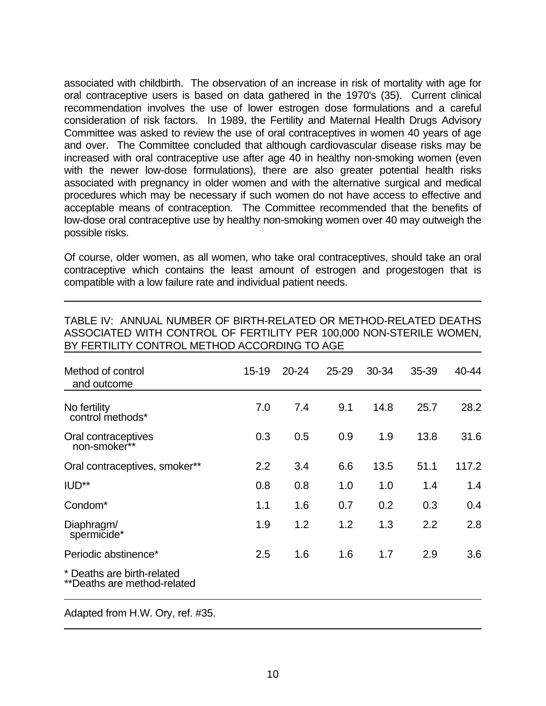associated with childbirth. The observation of an increase in risk of mortality with age for oral contraceptive users is based on data gathered in the 1970's (35). Current clinical recommendation involves the use of lower estrogen dose formulations and a careful consideration of risk factors. In 1989, the Fertility and Maternal Health Drugs Advisory Committee was asked to review the use of oral contraceptives in women 40 years of age and over. The Committee concluded that although cardiovascular disease risks may be increased with oral contraceptive use after age 40 in healthy non-smoking women (even with the newer low-dose formulations), there are also greater potential health risks associated with pregnancy in older women and with the alternative surgical and medical procedures which may be necessary if such women do not have access to effective and acceptable means of contraception. The Committee recommended that the benefits of low-dose oral contraceptive use by healthy non-smoking women over 40 may outweigh the possible risks.

Of course, older women, as all women, who take oral contraceptives, should take an oral contraceptive which contains the least amount of estrogen and progestogen that is compatible with a low failure rate and individual patient needs.

| Method of control<br>and outcome                          | 15-19            | $20 - 24$ | $25 - 29$ | 30-34 | 35-39 | 40-44 |
|-----------------------------------------------------------|------------------|-----------|-----------|-------|-------|-------|
| No fertility<br>control methods*                          | 7.0              | 7.4       | 9.1       | 14.8  | 25.7  | 28.2  |
| Oral contraceptives<br>non-smoker**                       | 0.3              | 0.5       | 0.9       | 1.9   | 13.8  | 31.6  |
| Oral contraceptives, smoker**                             | $2.2\phantom{0}$ | 3.4       | 6.6       | 13.5  | 51.1  | 117.2 |
| IUD**                                                     | 0.8              | 0.8       | 1.0       | 1.0   | 1.4   | 1.4   |
| Condom <sup>*</sup>                                       | 1.1              | 1.6       | 0.7       | 0.2   | 0.3   | 0.4   |
| Diaphragm/<br>spermicide*                                 | 1.9              | 1.2       | 1.2       | 1.3   | 2.2   | 2.8   |
| Periodic abstinence*                                      | 2.5              | 1.6       | 1.6       | 1.7   | 2.9   | 3.6   |
| * Deaths are birth-related<br>**Deaths are method-related |                  |           |           |       |       |       |

TABLE IV: ANNUAL NUMBER OF BIRTH-RELATED OR METHOD-RELATED DEATHS ASSOCIATED WITH CONTROL OF FERTILITY PER 100,000 NON-STERILE WOMEN, BY FERTILITY CONTROL METHOD ACCORDING TO AGE

Adapted from H.W. Ory, ref. #35.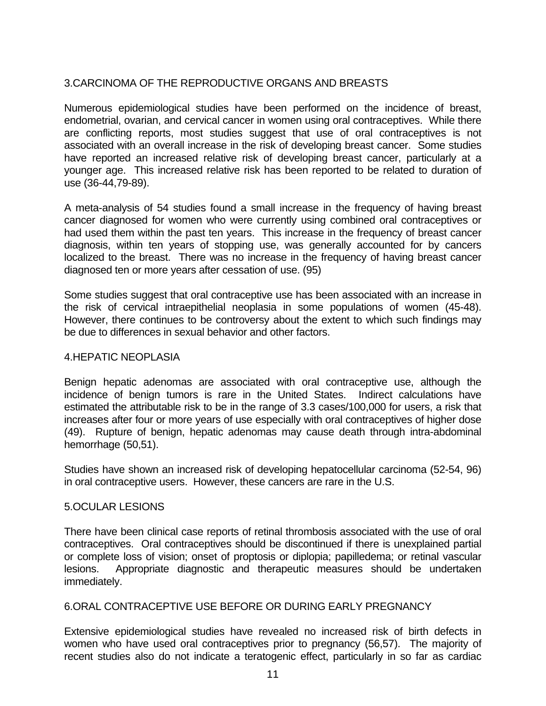# 3.CARCINOMA OF THE REPRODUCTIVE ORGANS AND BREASTS

Numerous epidemiological studies have been performed on the incidence of breast, endometrial, ovarian, and cervical cancer in women using oral contraceptives. While there are conflicting reports, most studies suggest that use of oral contraceptives is not associated with an overall increase in the risk of developing breast cancer. Some studies have reported an increased relative risk of developing breast cancer, particularly at a younger age. This increased relative risk has been reported to be related to duration of use (36-44,79-89).

A meta-analysis of 54 studies found a small increase in the frequency of having breast cancer diagnosed for women who were currently using combined oral contraceptives or had used them within the past ten years. This increase in the frequency of breast cancer diagnosis, within ten years of stopping use, was generally accounted for by cancers localized to the breast. There was no increase in the frequency of having breast cancer diagnosed ten or more years after cessation of use. (95)

Some studies suggest that oral contraceptive use has been associated with an increase in the risk of cervical intraepithelial neoplasia in some populations of women (45-48). However, there continues to be controversy about the extent to which such findings may be due to differences in sexual behavior and other factors.

## 4.HEPATIC NEOPLASIA

Benign hepatic adenomas are associated with oral contraceptive use, although the incidence of benign tumors is rare in the United States. Indirect calculations have estimated the attributable risk to be in the range of 3.3 cases/100,000 for users, a risk that increases after four or more years of use especially with oral contraceptives of higher dose (49). Rupture of benign, hepatic adenomas may cause death through intra-abdominal hemorrhage (50,51).

Studies have shown an increased risk of developing hepatocellular carcinoma (52-54, 96) in oral contraceptive users. However, these cancers are rare in the U.S.

## 5.OCULAR LESIONS

There have been clinical case reports of retinal thrombosis associated with the use of oral contraceptives. Oral contraceptives should be discontinued if there is unexplained partial or complete loss of vision; onset of proptosis or diplopia; papilledema; or retinal vascular lesions. Appropriate diagnostic and therapeutic measures should be undertaken immediately.

# 6.ORAL CONTRACEPTIVE USE BEFORE OR DURING EARLY PREGNANCY

Extensive epidemiological studies have revealed no increased risk of birth defects in women who have used oral contraceptives prior to pregnancy (56,57). The majority of recent studies also do not indicate a teratogenic effect, particularly in so far as cardiac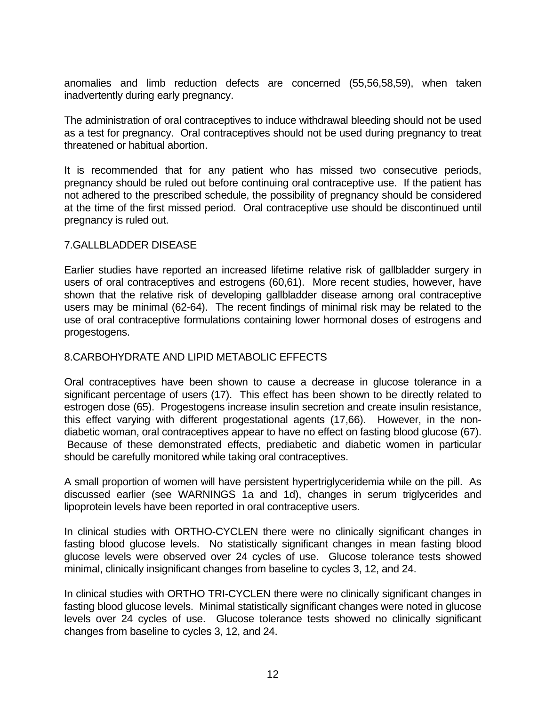anomalies and limb reduction defects are concerned (55,56,58,59), when taken inadvertently during early pregnancy.

The administration of oral contraceptives to induce withdrawal bleeding should not be used as a test for pregnancy. Oral contraceptives should not be used during pregnancy to treat threatened or habitual abortion.

It is recommended that for any patient who has missed two consecutive periods, pregnancy should be ruled out before continuing oral contraceptive use. If the patient has not adhered to the prescribed schedule, the possibility of pregnancy should be considered at the time of the first missed period. Oral contraceptive use should be discontinued until pregnancy is ruled out.

# 7.GALLBLADDER DISEASE

Earlier studies have reported an increased lifetime relative risk of gallbladder surgery in users of oral contraceptives and estrogens (60,61). More recent studies, however, have shown that the relative risk of developing gallbladder disease among oral contraceptive users may be minimal (62-64). The recent findings of minimal risk may be related to the use of oral contraceptive formulations containing lower hormonal doses of estrogens and progestogens.

# 8.CARBOHYDRATE AND LIPID METABOLIC EFFECTS

Oral contraceptives have been shown to cause a decrease in glucose tolerance in a significant percentage of users (17). This effect has been shown to be directly related to estrogen dose (65). Progestogens increase insulin secretion and create insulin resistance, this effect varying with different progestational agents (17,66). However, in the nondiabetic woman, oral contraceptives appear to have no effect on fasting blood glucose (67). Because of these demonstrated effects, prediabetic and diabetic women in particular should be carefully monitored while taking oral contraceptives.

A small proportion of women will have persistent hypertriglyceridemia while on the pill. As discussed earlier (see WARNINGS 1a and 1d), changes in serum triglycerides and lipoprotein levels have been reported in oral contraceptive users.

In clinical studies with ORTHO-CYCLEN there were no clinically significant changes in fasting blood glucose levels. No statistically significant changes in mean fasting blood glucose levels were observed over 24 cycles of use. Glucose tolerance tests showed minimal, clinically insignificant changes from baseline to cycles 3, 12, and 24.

In clinical studies with ORTHO TRI-CYCLEN there were no clinically significant changes in fasting blood glucose levels. Minimal statistically significant changes were noted in glucose levels over 24 cycles of use. Glucose tolerance tests showed no clinically significant changes from baseline to cycles 3, 12, and 24.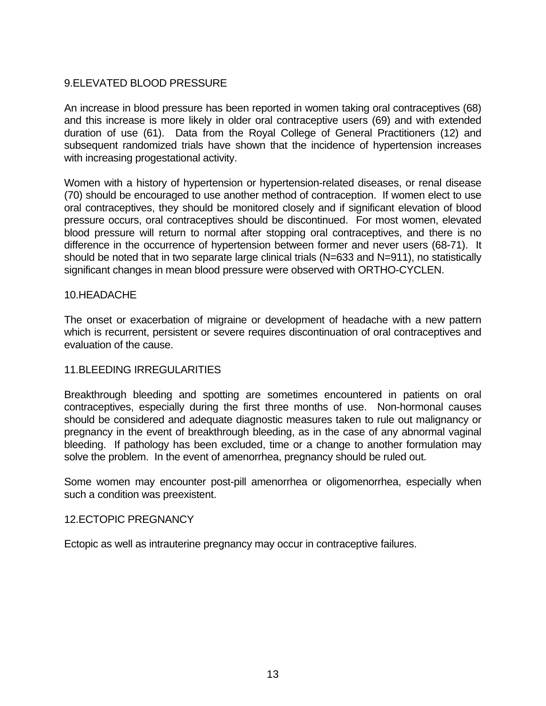# 9.ELEVATED BLOOD PRESSURE

An increase in blood pressure has been reported in women taking oral contraceptives (68) and this increase is more likely in older oral contraceptive users (69) and with extended duration of use (61). Data from the Royal College of General Practitioners (12) and subsequent randomized trials have shown that the incidence of hypertension increases with increasing progestational activity.

Women with a history of hypertension or hypertension-related diseases, or renal disease (70) should be encouraged to use another method of contraception. If women elect to use oral contraceptives, they should be monitored closely and if significant elevation of blood pressure occurs, oral contraceptives should be discontinued. For most women, elevated blood pressure will return to normal after stopping oral contraceptives, and there is no difference in the occurrence of hypertension between former and never users (68-71). It should be noted that in two separate large clinical trials (N=633 and N=911), no statistically significant changes in mean blood pressure were observed with ORTHO-CYCLEN.

#### 10.HEADACHE

The onset or exacerbation of migraine or development of headache with a new pattern which is recurrent, persistent or severe requires discontinuation of oral contraceptives and evaluation of the cause.

## 11.BLEEDING IRREGULARITIES

Breakthrough bleeding and spotting are sometimes encountered in patients on oral contraceptives, especially during the first three months of use. Non-hormonal causes should be considered and adequate diagnostic measures taken to rule out malignancy or pregnancy in the event of breakthrough bleeding, as in the case of any abnormal vaginal bleeding. If pathology has been excluded, time or a change to another formulation may solve the problem. In the event of amenorrhea, pregnancy should be ruled out.

Some women may encounter post-pill amenorrhea or oligomenorrhea, especially when such a condition was preexistent.

#### 12.ECTOPIC PREGNANCY

Ectopic as well as intrauterine pregnancy may occur in contraceptive failures.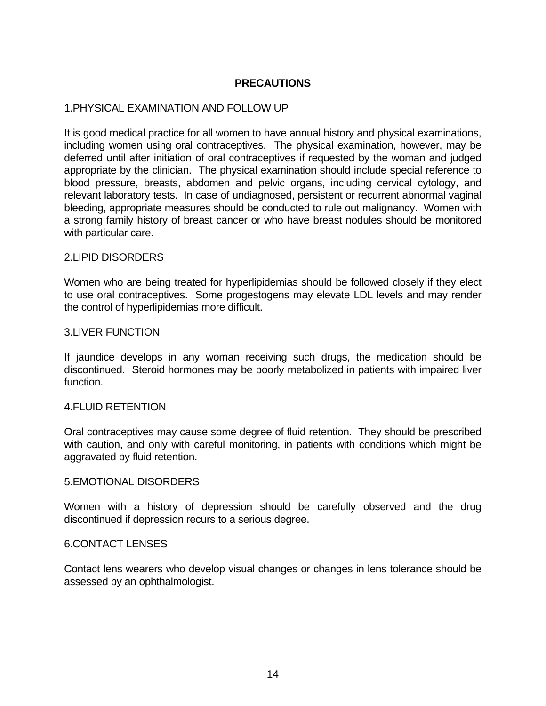# **PRECAUTIONS**

#### 1.PHYSICAL EXAMINATION AND FOLLOW UP

It is good medical practice for all women to have annual history and physical examinations, including women using oral contraceptives. The physical examination, however, may be deferred until after initiation of oral contraceptives if requested by the woman and judged appropriate by the clinician. The physical examination should include special reference to blood pressure, breasts, abdomen and pelvic organs, including cervical cytology, and relevant laboratory tests. In case of undiagnosed, persistent or recurrent abnormal vaginal bleeding, appropriate measures should be conducted to rule out malignancy. Women with a strong family history of breast cancer or who have breast nodules should be monitored with particular care.

#### 2.LIPID DISORDERS

Women who are being treated for hyperlipidemias should be followed closely if they elect to use oral contraceptives. Some progestogens may elevate LDL levels and may render the control of hyperlipidemias more difficult.

#### 3.LIVER FUNCTION

If jaundice develops in any woman receiving such drugs, the medication should be discontinued. Steroid hormones may be poorly metabolized in patients with impaired liver function.

#### 4.FLUID RETENTION

Oral contraceptives may cause some degree of fluid retention. They should be prescribed with caution, and only with careful monitoring, in patients with conditions which might be aggravated by fluid retention.

#### 5.EMOTIONAL DISORDERS

Women with a history of depression should be carefully observed and the drug discontinued if depression recurs to a serious degree.

#### 6.CONTACT LENSES

Contact lens wearers who develop visual changes or changes in lens tolerance should be assessed by an ophthalmologist.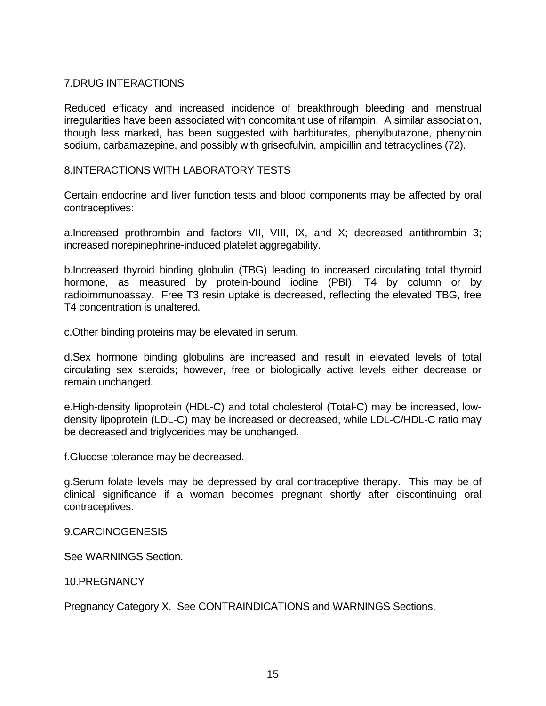## 7.DRUG INTERACTIONS

Reduced efficacy and increased incidence of breakthrough bleeding and menstrual irregularities have been associated with concomitant use of rifampin. A similar association, though less marked, has been suggested with barbiturates, phenylbutazone, phenytoin sodium, carbamazepine, and possibly with griseofulvin, ampicillin and tetracyclines (72).

#### 8.INTERACTIONS WITH LABORATORY TESTS

Certain endocrine and liver function tests and blood components may be affected by oral contraceptives:

a.Increased prothrombin and factors VII, VIII, IX, and X; decreased antithrombin 3; increased norepinephrine-induced platelet aggregability.

b.Increased thyroid binding globulin (TBG) leading to increased circulating total thyroid hormone, as measured by protein-bound iodine (PBI), T4 by column or by radioimmunoassay. Free T3 resin uptake is decreased, reflecting the elevated TBG, free T4 concentration is unaltered.

c.Other binding proteins may be elevated in serum.

d.Sex hormone binding globulins are increased and result in elevated levels of total circulating sex steroids; however, free or biologically active levels either decrease or remain unchanged.

e.High-density lipoprotein (HDL-C) and total cholesterol (Total-C) may be increased, lowdensity lipoprotein (LDL-C) may be increased or decreased, while LDL-C/HDL-C ratio may be decreased and triglycerides may be unchanged.

f.Glucose tolerance may be decreased.

g.Serum folate levels may be depressed by oral contraceptive therapy. This may be of clinical significance if a woman becomes pregnant shortly after discontinuing oral contraceptives.

#### 9.CARCINOGENESIS

See WARNINGS Section.

## 10.PREGNANCY

Pregnancy Category X. See CONTRAINDICATIONS and WARNINGS Sections.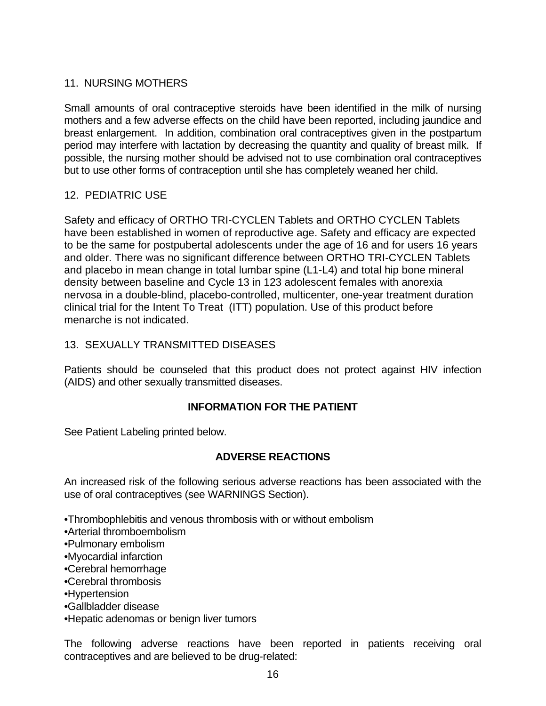# 11. NURSING MOTHERS

Small amounts of oral contraceptive steroids have been identified in the milk of nursing mothers and a few adverse effects on the child have been reported, including jaundice and breast enlargement. In addition, combination oral contraceptives given in the postpartum period may interfere with lactation by decreasing the quantity and quality of breast milk. If possible, the nursing mother should be advised not to use combination oral contraceptives but to use other forms of contraception until she has completely weaned her child.

# 12. PEDIATRIC USE

Safety and efficacy of ORTHO TRI-CYCLEN Tablets and ORTHO CYCLEN Tablets have been established in women of reproductive age. Safety and efficacy are expected to be the same for postpubertal adolescents under the age of 16 and for users 16 years and older. There was no significant difference between ORTHO TRI-CYCLEN Tablets and placebo in mean change in total lumbar spine (L1-L4) and total hip bone mineral density between baseline and Cycle 13 in 123 adolescent females with anorexia nervosa in a double-blind, placebo-controlled, multicenter, one-year treatment duration clinical trial for the Intent To Treat (ITT) population. Use of this product before menarche is not indicated.

# 13. SEXUALLY TRANSMITTED DISEASES

Patients should be counseled that this product does not protect against HIV infection (AIDS) and other sexually transmitted diseases.

## **INFORMATION FOR THE PATIENT**

See Patient Labeling printed below.

## **ADVERSE REACTIONS**

An increased risk of the following serious adverse reactions has been associated with the use of oral contraceptives (see WARNINGS Section).

- •Thrombophlebitis and venous thrombosis with or without embolism
- •Arterial thromboembolism
- •Pulmonary embolism
- •Myocardial infarction
- •Cerebral hemorrhage
- •Cerebral thrombosis
- •Hypertension
- •Gallbladder disease
- •Hepatic adenomas or benign liver tumors

The following adverse reactions have been reported in patients receiving oral contraceptives and are believed to be drug-related: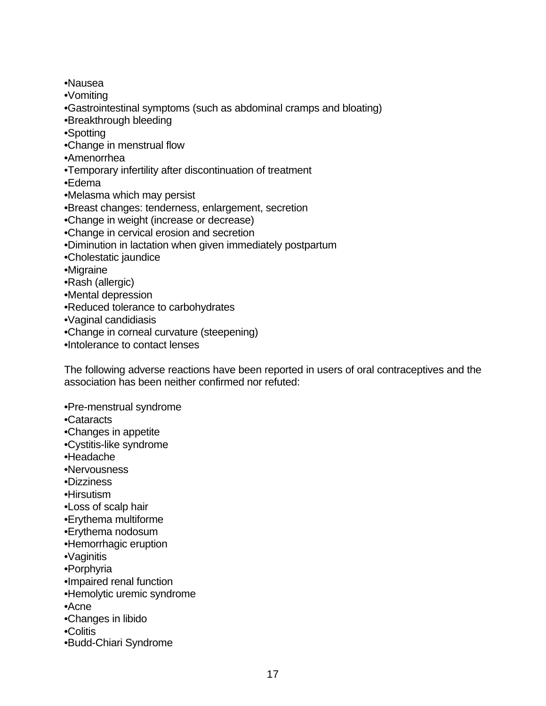- •Nausea
- •Vomiting
- •Gastrointestinal symptoms (such as abdominal cramps and bloating)
- •Breakthrough bleeding
- •Spotting
- •Change in menstrual flow
- •Amenorrhea
- •Temporary infertility after discontinuation of treatment
- •Edema
- •Melasma which may persist
- •Breast changes: tenderness, enlargement, secretion
- •Change in weight (increase or decrease)
- •Change in cervical erosion and secretion
- •Diminution in lactation when given immediately postpartum
- •Cholestatic jaundice
- •Migraine
- •Rash (allergic)
- •Mental depression
- •Reduced tolerance to carbohydrates
- •Vaginal candidiasis
- •Change in corneal curvature (steepening)
- •Intolerance to contact lenses

The following adverse reactions have been reported in users of oral contraceptives and the association has been neither confirmed nor refuted:

## •Pre-menstrual syndrome

- •Cataracts
- •Changes in appetite
- •Cystitis-like syndrome
- •Headache
- •Nervousness
- •Dizziness
- •Hirsutism
- •Loss of scalp hair
- •Erythema multiforme
- •Erythema nodosum
- •Hemorrhagic eruption
- •Vaginitis
- •Porphyria
- •Impaired renal function
- •Hemolytic uremic syndrome
- •Acne
- •Changes in libido
- •Colitis
- •Budd-Chiari Syndrome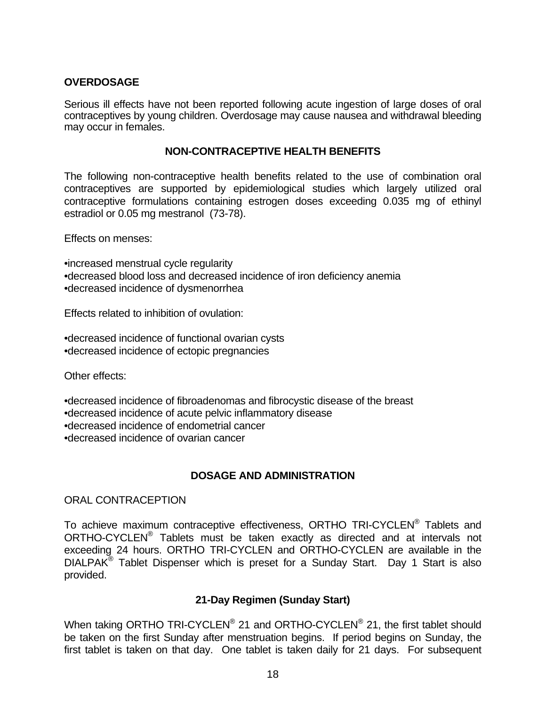## **OVERDOSAGE**

Serious ill effects have not been reported following acute ingestion of large doses of oral contraceptives by young children. Overdosage may cause nausea and withdrawal bleeding may occur in females.

#### **NON-CONTRACEPTIVE HEALTH BENEFITS**

The following non-contraceptive health benefits related to the use of combination oral contraceptives are supported by epidemiological studies which largely utilized oral contraceptive formulations containing estrogen doses exceeding 0.035 mg of ethinyl estradiol or 0.05 mg mestranol (73-78).

Effects on menses:

•increased menstrual cycle regularity •decreased blood loss and decreased incidence of iron deficiency anemia •decreased incidence of dysmenorrhea

Effects related to inhibition of ovulation:

•decreased incidence of functional ovarian cysts •decreased incidence of ectopic pregnancies

Other effects:

•decreased incidence of fibroadenomas and fibrocystic disease of the breast

•decreased incidence of acute pelvic inflammatory disease

•decreased incidence of endometrial cancer

•decreased incidence of ovarian cancer

## **DOSAGE AND ADMINISTRATION**

#### ORAL CONTRACEPTION

To achieve maximum contraceptive effectiveness, ORTHO TRI-CYCLEN® Tablets and ORTHO-CYCLEN® Tablets must be taken exactly as directed and at intervals not exceeding 24 hours. ORTHO TRI-CYCLEN and ORTHO-CYCLEN are available in the DIALPAK® Tablet Dispenser which is preset for a Sunday Start. Day 1 Start is also provided.

## **21-Day Regimen (Sunday Start)**

When taking ORTHO TRI-CYCLEN<sup>®</sup> 21 and ORTHO-CYCLEN<sup>®</sup> 21, the first tablet should be taken on the first Sunday after menstruation begins. If period begins on Sunday, the first tablet is taken on that day. One tablet is taken daily for 21 days. For subsequent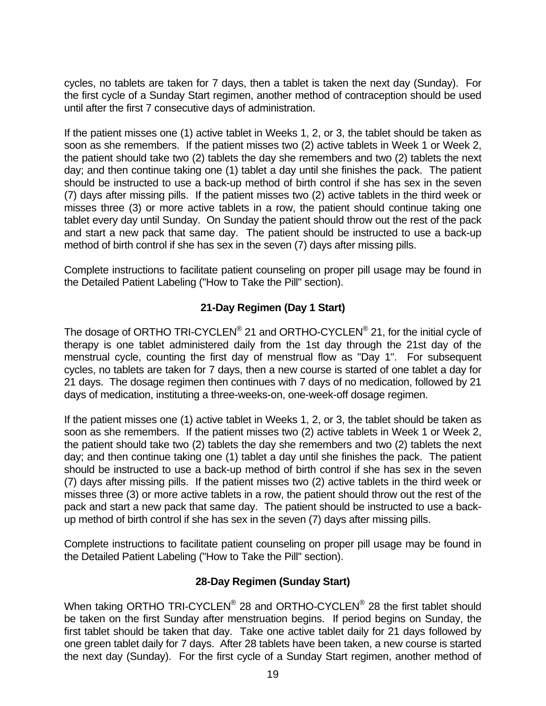cycles, no tablets are taken for 7 days, then a tablet is taken the next day (Sunday). For the first cycle of a Sunday Start regimen, another method of contraception should be used until after the first 7 consecutive days of administration.

If the patient misses one (1) active tablet in Weeks 1, 2, or 3, the tablet should be taken as soon as she remembers. If the patient misses two (2) active tablets in Week 1 or Week 2, the patient should take two (2) tablets the day she remembers and two (2) tablets the next day; and then continue taking one (1) tablet a day until she finishes the pack. The patient should be instructed to use a back-up method of birth control if she has sex in the seven (7) days after missing pills. If the patient misses two (2) active tablets in the third week or misses three (3) or more active tablets in a row, the patient should continue taking one tablet every day until Sunday. On Sunday the patient should throw out the rest of the pack and start a new pack that same day. The patient should be instructed to use a back-up method of birth control if she has sex in the seven (7) days after missing pills.

Complete instructions to facilitate patient counseling on proper pill usage may be found in the Detailed Patient Labeling ("How to Take the Pill" section).

# **21-Day Regimen (Day 1 Start)**

The dosage of ORTHO TRI-CYCLEN<sup>®</sup> 21 and ORTHO-CYCLEN<sup>®</sup> 21, for the initial cycle of therapy is one tablet administered daily from the 1st day through the 21st day of the menstrual cycle, counting the first day of menstrual flow as "Day 1". For subsequent cycles, no tablets are taken for 7 days, then a new course is started of one tablet a day for 21 days. The dosage regimen then continues with 7 days of no medication, followed by 21 days of medication, instituting a three-weeks-on, one-week-off dosage regimen.

If the patient misses one (1) active tablet in Weeks 1, 2, or 3, the tablet should be taken as soon as she remembers. If the patient misses two (2) active tablets in Week 1 or Week 2, the patient should take two (2) tablets the day she remembers and two (2) tablets the next day; and then continue taking one (1) tablet a day until she finishes the pack. The patient should be instructed to use a back-up method of birth control if she has sex in the seven (7) days after missing pills. If the patient misses two (2) active tablets in the third week or misses three (3) or more active tablets in a row, the patient should throw out the rest of the pack and start a new pack that same day. The patient should be instructed to use a backup method of birth control if she has sex in the seven (7) days after missing pills.

Complete instructions to facilitate patient counseling on proper pill usage may be found in the Detailed Patient Labeling ("How to Take the Pill" section).

# **28-Day Regimen (Sunday Start)**

When taking ORTHO TRI-CYCLEN<sup>®</sup> 28 and ORTHO-CYCLEN<sup>®</sup> 28 the first tablet should be taken on the first Sunday after menstruation begins. If period begins on Sunday, the first tablet should be taken that day. Take one active tablet daily for 21 days followed by one green tablet daily for 7 days. After 28 tablets have been taken, a new course is started the next day (Sunday). For the first cycle of a Sunday Start regimen, another method of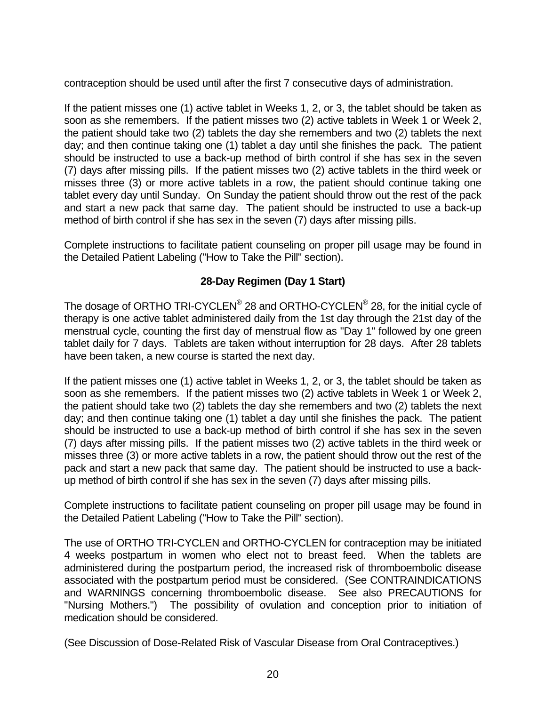contraception should be used until after the first 7 consecutive days of administration.

If the patient misses one (1) active tablet in Weeks 1, 2, or 3, the tablet should be taken as soon as she remembers. If the patient misses two (2) active tablets in Week 1 or Week 2, the patient should take two (2) tablets the day she remembers and two (2) tablets the next day; and then continue taking one (1) tablet a day until she finishes the pack. The patient should be instructed to use a back-up method of birth control if she has sex in the seven (7) days after missing pills. If the patient misses two (2) active tablets in the third week or misses three (3) or more active tablets in a row, the patient should continue taking one tablet every day until Sunday. On Sunday the patient should throw out the rest of the pack and start a new pack that same day. The patient should be instructed to use a back-up method of birth control if she has sex in the seven (7) days after missing pills.

Complete instructions to facilitate patient counseling on proper pill usage may be found in the Detailed Patient Labeling ("How to Take the Pill" section).

# **28-Day Regimen (Day 1 Start)**

The dosage of ORTHO TRI-CYCLEN<sup>®</sup> 28 and ORTHO-CYCLEN<sup>®</sup> 28, for the initial cycle of therapy is one active tablet administered daily from the 1st day through the 21st day of the menstrual cycle, counting the first day of menstrual flow as "Day 1" followed by one green tablet daily for 7 days. Tablets are taken without interruption for 28 days. After 28 tablets have been taken, a new course is started the next day.

If the patient misses one (1) active tablet in Weeks 1, 2, or 3, the tablet should be taken as soon as she remembers. If the patient misses two (2) active tablets in Week 1 or Week 2, the patient should take two (2) tablets the day she remembers and two (2) tablets the next day; and then continue taking one (1) tablet a day until she finishes the pack. The patient should be instructed to use a back-up method of birth control if she has sex in the seven (7) days after missing pills. If the patient misses two (2) active tablets in the third week or misses three (3) or more active tablets in a row, the patient should throw out the rest of the pack and start a new pack that same day. The patient should be instructed to use a backup method of birth control if she has sex in the seven (7) days after missing pills.

Complete instructions to facilitate patient counseling on proper pill usage may be found in the Detailed Patient Labeling ("How to Take the Pill" section).

The use of ORTHO TRI-CYCLEN and ORTHO-CYCLEN for contraception may be initiated 4 weeks postpartum in women who elect not to breast feed. When the tablets are administered during the postpartum period, the increased risk of thromboembolic disease associated with the postpartum period must be considered. (See CONTRAINDICATIONS and WARNINGS concerning thromboembolic disease. See also PRECAUTIONS for "Nursing Mothers.") The possibility of ovulation and conception prior to initiation of medication should be considered.

(See Discussion of Dose-Related Risk of Vascular Disease from Oral Contraceptives.)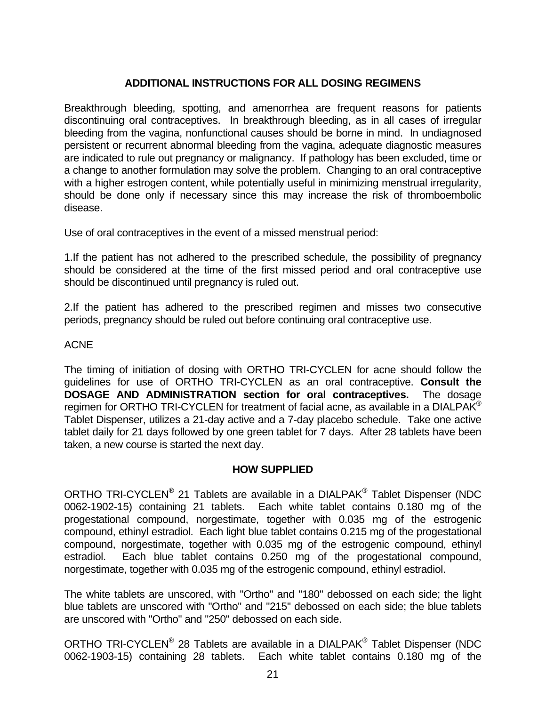# **ADDITIONAL INSTRUCTIONS FOR ALL DOSING REGIMENS**

Breakthrough bleeding, spotting, and amenorrhea are frequent reasons for patients discontinuing oral contraceptives. In breakthrough bleeding, as in all cases of irregular bleeding from the vagina, nonfunctional causes should be borne in mind. In undiagnosed persistent or recurrent abnormal bleeding from the vagina, adequate diagnostic measures are indicated to rule out pregnancy or malignancy. If pathology has been excluded, time or a change to another formulation may solve the problem. Changing to an oral contraceptive with a higher estrogen content, while potentially useful in minimizing menstrual irregularity, should be done only if necessary since this may increase the risk of thromboembolic disease.

Use of oral contraceptives in the event of a missed menstrual period:

1.If the patient has not adhered to the prescribed schedule, the possibility of pregnancy should be considered at the time of the first missed period and oral contraceptive use should be discontinued until pregnancy is ruled out.

2.If the patient has adhered to the prescribed regimen and misses two consecutive periods, pregnancy should be ruled out before continuing oral contraceptive use.

## ACNE

The timing of initiation of dosing with ORTHO TRI-CYCLEN for acne should follow the guidelines for use of ORTHO TRI-CYCLEN as an oral contraceptive. **Consult the DOSAGE AND ADMINISTRATION section for oral contraceptives.** The dosage regimen for ORTHO TRI-CYCLEN for treatment of facial acne, as available in a DIALPAK<sup>®</sup> Tablet Dispenser, utilizes a 21-day active and a 7-day placebo schedule. Take one active tablet daily for 21 days followed by one green tablet for 7 days. After 28 tablets have been taken, a new course is started the next day.

## **HOW SUPPLIED**

ORTHO TRI-CYCLEN® 21 Tablets are available in a DIALPAK® Tablet Dispenser (NDC 0062-1902-15) containing 21 tablets. Each white tablet contains 0.180 mg of the progestational compound, norgestimate, together with 0.035 mg of the estrogenic compound, ethinyl estradiol. Each light blue tablet contains 0.215 mg of the progestational compound, norgestimate, together with 0.035 mg of the estrogenic compound, ethinyl estradiol. Each blue tablet contains 0.250 mg of the progestational compound, norgestimate, together with 0.035 mg of the estrogenic compound, ethinyl estradiol.

The white tablets are unscored, with "Ortho" and "180" debossed on each side; the light blue tablets are unscored with "Ortho" and "215" debossed on each side; the blue tablets are unscored with "Ortho" and "250" debossed on each side.

ORTHO TRI-CYCLEN® 28 Tablets are available in a DIALPAK® Tablet Dispenser (NDC 0062-1903-15) containing 28 tablets. Each white tablet contains 0.180 mg of the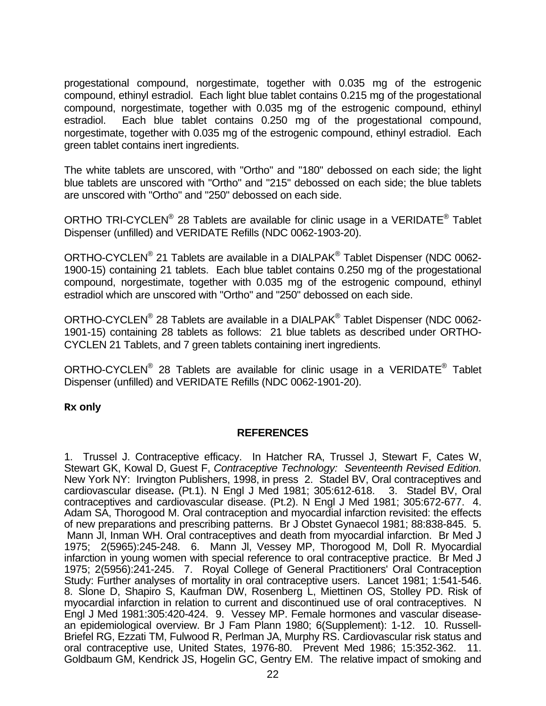progestational compound, norgestimate, together with 0.035 mg of the estrogenic compound, ethinyl estradiol. Each light blue tablet contains 0.215 mg of the progestational compound, norgestimate, together with 0.035 mg of the estrogenic compound, ethinyl estradiol. Each blue tablet contains 0.250 mg of the progestational compound, norgestimate, together with 0.035 mg of the estrogenic compound, ethinyl estradiol. Each green tablet contains inert ingredients.

The white tablets are unscored, with "Ortho" and "180" debossed on each side; the light blue tablets are unscored with "Ortho" and "215" debossed on each side; the blue tablets are unscored with "Ortho" and "250" debossed on each side.

ORTHO TRI-CYCLEN® 28 Tablets are available for clinic usage in a VERIDATE® Tablet Dispenser (unfilled) and VERIDATE Refills (NDC 0062-1903-20).

ORTHO-CYCLEN® 21 Tablets are available in a DIALPAK® Tablet Dispenser (NDC 0062- 1900-15) containing 21 tablets. Each blue tablet contains 0.250 mg of the progestational compound, norgestimate, together with 0.035 mg of the estrogenic compound, ethinyl estradiol which are unscored with "Ortho" and "250" debossed on each side.

ORTHO-CYCLEN® 28 Tablets are available in a DIALPAK® Tablet Dispenser (NDC 0062- 1901-15) containing 28 tablets as follows: 21 blue tablets as described under ORTHO-CYCLEN 21 Tablets, and 7 green tablets containing inert ingredients.

ORTHO-CYCLEN® 28 Tablets are available for clinic usage in a VERIDATE® Tablet Dispenser (unfilled) and VERIDATE Refills (NDC 0062-1901-20).

## **Rx only**

## **REFERENCES**

1. Trussel J. Contraceptive efficacy. In Hatcher RA, Trussel J, Stewart F, Cates W, Stewart GK, Kowal D, Guest F, *Contraceptive Technology: Seventeenth Revised Edition.* New York NY: Irvington Publishers, 1998, in press 2. Stadel BV, Oral contraceptives and cardiovascular disease**.** (Pt.1). N Engl J Med 1981; 305:612-618. 3. Stadel BV, Oral contraceptives and cardiovascular disease. (Pt.2). N Engl J Med 1981; 305:672-677. 4. Adam SA, Thorogood M. Oral contraception and myocardial infarction revisited: the effects of new preparations and prescribing patterns. Br J Obstet Gynaecol 1981; 88:838-845. 5. Mann Jl, Inman WH. Oral contraceptives and death from myocardial infarction. Br Med J 1975; 2(5965):245-248. 6. Mann Jl, Vessey MP, Thorogood M, Doll R. Myocardial infarction in young women with special reference to oral contraceptive practice. Br Med J 1975; 2(5956):241-245. 7. Royal College of General Practitioners' Oral Contraception Study: Further analyses of mortality in oral contraceptive users. Lancet 1981; 1:541-546. 8. Slone D, Shapiro S, Kaufman DW, Rosenberg L, Miettinen OS, Stolley PD. Risk of myocardial infarction in relation to current and discontinued use of oral contraceptives. N Engl J Med 1981:305:420-424. 9. Vessey MP. Female hormones and vascular diseasean epidemiological overview. Br J Fam Plann 1980; 6(Supplement): 1-12. 10. Russell-Briefel RG, Ezzati TM, Fulwood R, Perlman JA, Murphy RS. Cardiovascular risk status and oral contraceptive use, United States, 1976-80. Prevent Med 1986; 15:352-362. 11. Goldbaum GM, Kendrick JS, Hogelin GC, Gentry EM. The relative impact of smoking and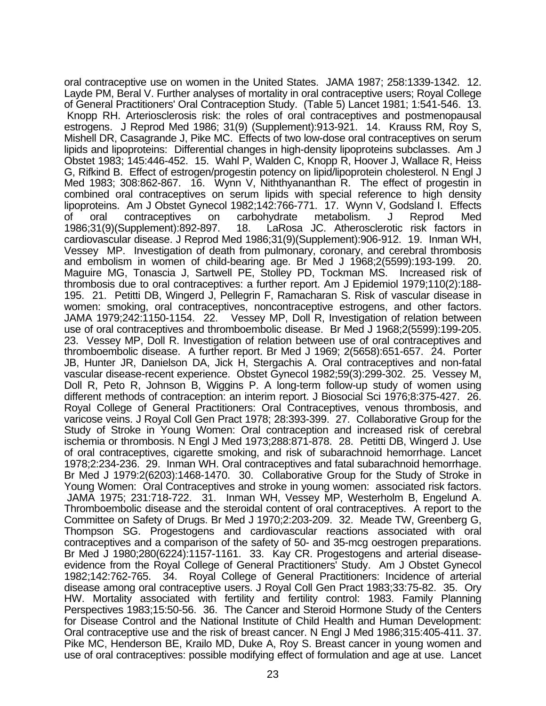oral contraceptive use on women in the United States. JAMA 1987; 258:1339-1342. 12. Layde PM, Beral V. Further analyses of mortality in oral contraceptive users; Royal College of General Practitioners' Oral Contraception Study. (Table 5) Lancet 1981; 1:541-546. 13. Knopp RH. Arteriosclerosis risk: the roles of oral contraceptives and postmenopausal estrogens. J Reprod Med 1986; 31(9) (Supplement):913-921. 14. Krauss RM, Roy S, Mishell DR, Casagrande J, Pike MC. Effects of two low-dose oral contraceptives on serum lipids and lipoproteins: Differential changes in high-density lipoproteins subclasses. Am J Obstet 1983; 145:446-452. 15. Wahl P, Walden C, Knopp R, Hoover J, Wallace R, Heiss G, Rifkind B. Effect of estrogen/progestin potency on lipid/lipoprotein cholesterol. N Engl J Med 1983; 308:862-867. 16. Wynn V, Niththyananthan R. The effect of progestin in combined oral contraceptives on serum lipids with special reference to high density lipoproteins. Am J Obstet Gynecol 1982;142:766-771. 17. Wynn V, Godsland I. Effects of oral contraceptives on carbohydrate metabolism. J Reprod Med 1986;31(9)(Supplement):892-897. 18. LaRosa JC. Atherosclerotic risk factors in cardiovascular disease. J Reprod Med 1986;31(9)(Supplement):906-912. 19. Inman WH, Vessey MP. Investigation of death from pulmonary, coronary, and cerebral thrombosis and embolism in women of child-bearing age. Br Med J 1968;2(5599):193-199. 20. Maguire MG, Tonascia J, Sartwell PE, Stolley PD, Tockman MS. Increased risk of thrombosis due to oral contraceptives: a further report. Am J Epidemiol 1979;110(2):188- 195. 21. Petitti DB, Wingerd J, Pellegrin F, Ramacharan S. Risk of vascular disease in women: smoking, oral contraceptives, noncontraceptive estrogens, and other factors. JAMA 1979;242:1150-1154. 22. Vessey MP, Doll R, Investigation of relation between use of oral contraceptives and thromboembolic disease. Br Med J 1968;2(5599):199-205. 23. Vessey MP, Doll R. Investigation of relation between use of oral contraceptives and thromboembolic disease. A further report. Br Med J 1969; 2(5658):651-657. 24. Porter JB, Hunter JR, Danielson DA, Jick H, Stergachis A. Oral contraceptives and non-fatal vascular disease-recent experience. Obstet Gynecol 1982;59(3):299-302. 25. Vessey M, Doll R, Peto R, Johnson B, Wiggins P. A long-term follow-up study of women using different methods of contraception: an interim report. J Biosocial Sci 1976;8:375-427. 26. Royal College of General Practitioners: Oral Contraceptives, venous thrombosis, and varicose veins. J Royal Coll Gen Pract 1978; 28:393-399. 27. Collaborative Group for the Study of Stroke in Young Women: Oral contraception and increased risk of cerebral ischemia or thrombosis. N Engl J Med 1973;288:871-878. 28. Petitti DB, Wingerd J. Use of oral contraceptives, cigarette smoking, and risk of subarachnoid hemorrhage. Lancet 1978;2:234-236. 29. Inman WH. Oral contraceptives and fatal subarachnoid hemorrhage. Br Med J 1979:2(6203):1468-1470. 30. Collaborative Group for the Study of Stroke in Young Women: Oral Contraceptives and stroke in young women: associated risk factors. JAMA 1975; 231:718-722. 31. Inman WH, Vessey MP, Westerholm B, Engelund A. Thromboembolic disease and the steroidal content of oral contraceptives. A report to the Committee on Safety of Drugs. Br Med J 1970;2:203-209. 32. Meade TW, Greenberg G, Thompson SG. Progestogens and cardiovascular reactions associated with oral contraceptives and a comparison of the safety of 50- and 35-mcg oestrogen preparations. Br Med J 1980;280(6224):1157-1161. 33. Kay CR. Progestogens and arterial diseaseevidence from the Royal College of General Practitioners' Study. Am J Obstet Gynecol 1982;142:762-765. 34. Royal College of General Practitioners: Incidence of arterial disease among oral contraceptive users. J Royal Coll Gen Pract 1983;33:75-82. 35. Ory HW. Mortality associated with fertility and fertility control: 1983. Family Planning Perspectives 1983;15:50-56. 36. The Cancer and Steroid Hormone Study of the Centers for Disease Control and the National Institute of Child Health and Human Development: Oral contraceptive use and the risk of breast cancer. N Engl J Med 1986;315:405-411. 37. Pike MC, Henderson BE, Krailo MD, Duke A, Roy S. Breast cancer in young women and use of oral contraceptives: possible modifying effect of formulation and age at use. Lancet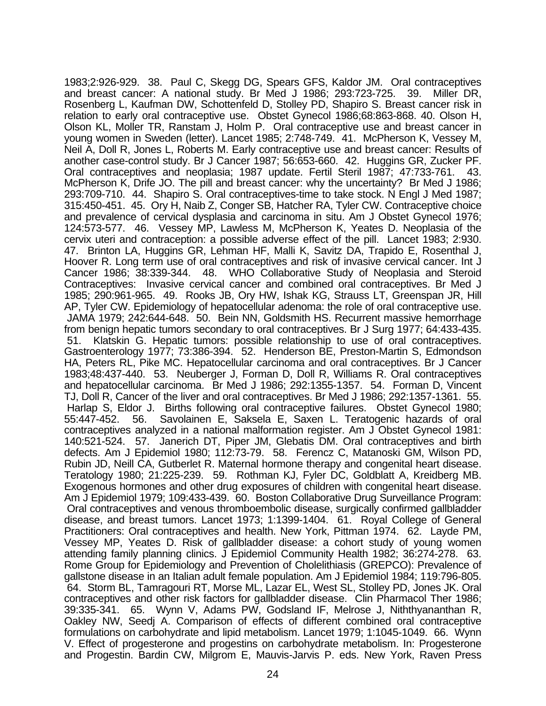1983;2:926-929. 38. Paul C, Skegg DG, Spears GFS, Kaldor JM. Oral contraceptives and breast cancer: A national study. Br Med J 1986; 293:723-725. 39. Miller DR, Rosenberg L, Kaufman DW, Schottenfeld D, Stolley PD, Shapiro S. Breast cancer risk in relation to early oral contraceptive use. Obstet Gynecol 1986;68:863-868. 40. Olson H, Olson KL, Moller TR, Ranstam J, Holm P. Oral contraceptive use and breast cancer in young women in Sweden (letter). Lancet 1985; 2:748-749. 41. McPherson K, Vessey M, Neil A, Doll R, Jones L, Roberts M. Early contraceptive use and breast cancer: Results of another case-control study. Br J Cancer 1987; 56:653-660. 42. Huggins GR, Zucker PF. Oral contraceptives and neoplasia; 1987 update. Fertil Steril 1987; 47:733-761. 43. McPherson K, Drife JO. The pill and breast cancer: why the uncertainty? Br Med J 1986; 293:709-710. 44. Shapiro S. Oral contraceptives-time to take stock. N Engl J Med 1987; 315:450-451. 45. Ory H, Naib Z, Conger SB, Hatcher RA, Tyler CW. Contraceptive choice and prevalence of cervical dysplasia and carcinoma in situ. Am J Obstet Gynecol 1976; 124:573-577. 46. Vessey MP, Lawless M, McPherson K, Yeates D. Neoplasia of the cervix uteri and contraception: a possible adverse effect of the pill. Lancet 1983; 2:930. 47. Brinton LA, Huggins GR, Lehman HF, Malli K, Savitz DA, Trapido E, Rosenthal J, Hoover R. Long term use of oral contraceptives and risk of invasive cervical cancer. Int J Cancer 1986; 38:339-344. 48. WHO Collaborative Study of Neoplasia and Steroid Contraceptives: Invasive cervical cancer and combined oral contraceptives. Br Med J 1985; 290:961-965. 49. Rooks JB, Ory HW, Ishak KG, Strauss LT, Greenspan JR, Hill AP, Tyler CW. Epidemiology of hepatocellular adenoma: the role of oral contraceptive use. JAMA 1979; 242:644-648. 50. Bein NN, Goldsmith HS. Recurrent massive hemorrhage from benign hepatic tumors secondary to oral contraceptives. Br J Surg 1977; 64:433-435. 51. Klatskin G. Hepatic tumors: possible relationship to use of oral contraceptives. Gastroenterology 1977; 73:386-394. 52. Henderson BE, Preston-Martin S, Edmondson HA, Peters RL, Pike MC. Hepatocellular carcinoma and oral contraceptives. Br J Cancer 1983;48:437-440. 53. Neuberger J, Forman D, Doll R, Williams R. Oral contraceptives and hepatocellular carcinoma. Br Med J 1986; 292:1355-1357. 54. Forman D, Vincent TJ, Doll R, Cancer of the liver and oral contraceptives. Br Med J 1986; 292:1357-1361. 55. Harlap S, Eldor J. Births following oral contraceptive failures. Obstet Gynecol 1980; 55:447-452. 56. Savolainen E, Saksela E, Saxen L. Teratogenic hazards of oral contraceptives analyzed in a national malformation register. Am J Obstet Gynecol 1981: 140:521-524. 57. Janerich DT, Piper JM, Glebatis DM. Oral contraceptives and birth defects. Am J Epidemiol 1980; 112:73-79. 58. Ferencz C, Matanoski GM, Wilson PD, Rubin JD, Neill CA, Gutberlet R. Maternal hormone therapy and congenital heart disease. Teratology 1980; 21:225-239. 59. Rothman KJ, Fyler DC, Goldblatt A, Kreidberg MB. Exogenous hormones and other drug exposures of children with congenital heart disease. Am J Epidemiol 1979; 109:433-439. 60. Boston Collaborative Drug Surveillance Program: Oral contraceptives and venous thromboembolic disease, surgically confirmed gallbladder disease, and breast tumors. Lancet 1973; 1:1399-1404. 61. Royal College of General Practitioners: Oral contraceptives and health. New York, Pittman 1974. 62. Layde PM, Vessey MP, Yeates D. Risk of gallbladder disease: a cohort study of young women attending family planning clinics. J Epidemiol Community Health 1982; 36:274-278. 63. Rome Group for Epidemiology and Prevention of Cholelithiasis (GREPCO): Prevalence of gallstone disease in an Italian adult female population. Am J Epidemiol 1984; 119:796-805. 64. Storm BL, Tamragouri RT, Morse ML, Lazar EL, West SL, Stolley PD, Jones JK. Oral contraceptives and other risk factors for gallbladder disease. Clin Pharmacol Ther 1986; 39:335-341. 65. Wynn V, Adams PW, Godsland IF, Melrose J, Niththyananthan R, Oakley NW, Seedj A. Comparison of effects of different combined oral contraceptive formulations on carbohydrate and lipid metabolism. Lancet 1979; 1:1045-1049. 66. Wynn V. Effect of progesterone and progestins on carbohydrate metabolism. In: Progesterone and Progestin. Bardin CW, Milgrom E, Mauvis-Jarvis P. eds. New York, Raven Press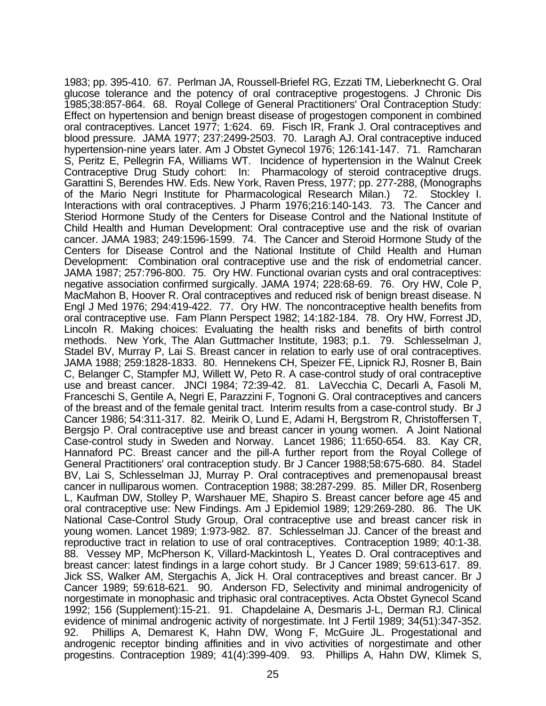1983; pp. 395-410. 67. Perlman JA, Roussell-Briefel RG, Ezzati TM, Lieberknecht G. Oral glucose tolerance and the potency of oral contraceptive progestogens. J Chronic Dis 1985;38:857-864. 68. Royal College of General Practitioners' Oral Contraception Study: Effect on hypertension and benign breast disease of progestogen component in combined oral contraceptives. Lancet 1977; 1:624. 69. Fisch IR, Frank J. Oral contraceptives and blood pressure. JAMA 1977; 237:2499-2503. 70. Laragh AJ. Oral contraceptive induced hypertension-nine years later. Am J Obstet Gynecol 1976; 126:141-147. 71. Ramcharan S, Peritz E, Pellegrin FA, Williams WT. Incidence of hypertension in the Walnut Creek Contraceptive Drug Study cohort: In: Pharmacology of steroid contraceptive drugs. Garattini S, Berendes HW. Eds. New York, Raven Press, 1977; pp. 277-288, (Monographs of the Mario Negri Institute for Pharmacological Research Milan.) 72. Stockley I. Interactions with oral contraceptives. J Pharm 1976;216:140-143. 73. The Cancer and Steriod Hormone Study of the Centers for Disease Control and the National Institute of Child Health and Human Development: Oral contraceptive use and the risk of ovarian cancer. JAMA 1983; 249:1596-1599. 74. The Cancer and Steroid Hormone Study of the Centers for Disease Control and the National Institute of Child Health and Human Development: Combination oral contraceptive use and the risk of endometrial cancer. JAMA 1987; 257:796-800. 75. Ory HW. Functional ovarian cysts and oral contraceptives: negative association confirmed surgically. JAMA 1974; 228:68-69. 76. Ory HW, Cole P, MacMahon B, Hoover R. Oral contraceptives and reduced risk of benign breast disease. N Engl J Med 1976; 294:419-422. 77. Ory HW. The noncontraceptive health benefits from oral contraceptive use. Fam Plann Perspect 1982; 14:182-184. 78. Ory HW, Forrest JD, Lincoln R. Making choices: Evaluating the health risks and benefits of birth control methods. New York, The Alan Guttmacher Institute, 1983; p.1. 79. Schlesselman J, Stadel BV, Murray P, Lai S. Breast cancer in relation to early use of oral contraceptives. JAMA 1988; 259:1828-1833. 80. Hennekens CH, Speizer FE, Lipnick RJ, Rosner B, Bain C, Belanger C, Stampfer MJ, Willett W, Peto R. A case-control study of oral contraceptive use and breast cancer. JNCI 1984; 72:39-42. 81. LaVecchia C, Decarli A, Fasoli M, Franceschi S, Gentile A, Negri E, Parazzini F, Tognoni G. Oral contraceptives and cancers of the breast and of the female genital tract. Interim results from a case-control study. Br J Cancer 1986; 54:311-317. 82. Meirik O, Lund E, Adami H, Bergstrom R, Christoffersen T, Bergsjo P. Oral contraceptive use and breast cancer in young women. A Joint National Case-control study in Sweden and Norway. Lancet 1986; 11:650-654. 83. Kay CR, Hannaford PC. Breast cancer and the pill-A further report from the Royal College of General Practitioners' oral contraception study. Br J Cancer 1988;58:675-680. 84. Stadel BV, Lai S, Schlesselman JJ, Murray P. Oral contraceptives and premenopausal breast cancer in nulliparous women. Contraception 1988; 38:287-299. 85. Miller DR, Rosenberg L, Kaufman DW, Stolley P, Warshauer ME, Shapiro S. Breast cancer before age 45 and oral contraceptive use: New Findings. Am J Epidemiol 1989; 129:269-280. 86. The UK National Case-Control Study Group, Oral contraceptive use and breast cancer risk in young women. Lancet 1989; 1:973-982. 87. Schlesselman JJ. Cancer of the breast and reproductive tract in relation to use of oral contraceptives. Contraception 1989; 40:1-38. 88. Vessey MP, McPherson K, Villard-Mackintosh L, Yeates D. Oral contraceptives and breast cancer: latest findings in a large cohort study. Br J Cancer 1989; 59:613-617. 89. Jick SS, Walker AM, Stergachis A, Jick H. Oral contraceptives and breast cancer. Br J Cancer 1989; 59:618-621. 90. Anderson FD, Selectivity and minimal androgenicity of norgestimate in monophasic and triphasic oral contraceptives. Acta Obstet Gynecol Scand 1992; 156 (Supplement):15-21. 91. Chapdelaine A, Desmaris J-L, Derman RJ. Clinical evidence of minimal androgenic activity of norgestimate. Int J Fertil 1989; 34(51):347-352. 92. Phillips A, Demarest K, Hahn DW, Wong F, McGuire JL. Progestational and androgenic receptor binding affinities and in vivo activities of norgestimate and other progestins. Contraception 1989; 41(4):399-409. 93. Phillips A, Hahn DW, Klimek S,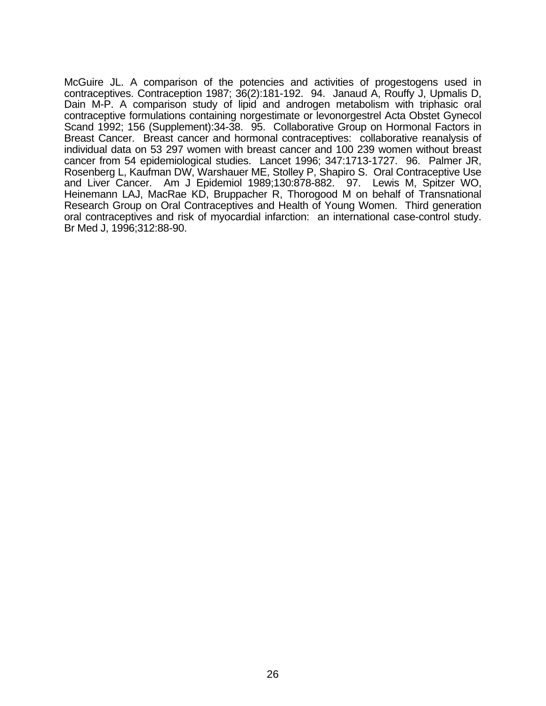McGuire JL. A comparison of the potencies and activities of progestogens used in contraceptives. Contraception 1987; 36(2):181-192. 94. Janaud A, Rouffy J, Upmalis D, Dain M-P. A comparison study of lipid and androgen metabolism with triphasic oral contraceptive formulations containing norgestimate or levonorgestrel Acta Obstet Gynecol Scand 1992; 156 (Supplement):34-38. 95. Collaborative Group on Hormonal Factors in Breast Cancer. Breast cancer and hormonal contraceptives: collaborative reanalysis of individual data on 53 297 women with breast cancer and 100 239 women without breast cancer from 54 epidemiological studies. Lancet 1996; 347:1713-1727. 96. Palmer JR, Rosenberg L, Kaufman DW, Warshauer ME, Stolley P, Shapiro S. Oral Contraceptive Use and Liver Cancer. Am J Epidemiol 1989;130:878-882. 97. Lewis M, Spitzer WO, Heinemann LAJ, MacRae KD, Bruppacher R, Thorogood M on behalf of Transnational Research Group on Oral Contraceptives and Health of Young Women. Third generation oral contraceptives and risk of myocardial infarction: an international case-control study. Br Med J, 1996;312:88-90.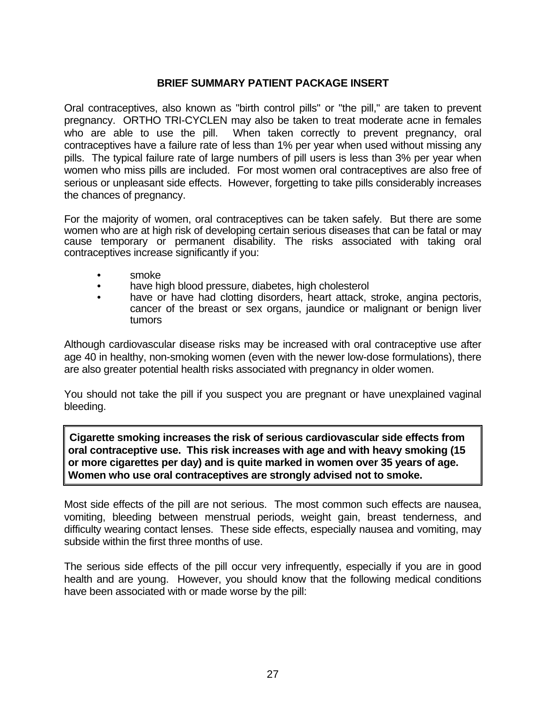# **BRIEF SUMMARY PATIENT PACKAGE INSERT**

Oral contraceptives, also known as "birth control pills" or "the pill," are taken to prevent pregnancy. ORTHO TRI-CYCLEN may also be taken to treat moderate acne in females who are able to use the pill. When taken correctly to prevent pregnancy, oral contraceptives have a failure rate of less than 1% per year when used without missing any pills. The typical failure rate of large numbers of pill users is less than 3% per year when women who miss pills are included. For most women oral contraceptives are also free of serious or unpleasant side effects. However, forgetting to take pills considerably increases the chances of pregnancy.

For the majority of women, oral contraceptives can be taken safely. But there are some women who are at high risk of developing certain serious diseases that can be fatal or may cause temporary or permanent disability. The risks associated with taking oral contraceptives increase significantly if you:

- smoke
- have high blood pressure, diabetes, high cholesterol
- have or have had clotting disorders, heart attack, stroke, angina pectoris, cancer of the breast or sex organs, jaundice or malignant or benign liver tumors

Although cardiovascular disease risks may be increased with oral contraceptive use after age 40 in healthy, non-smoking women (even with the newer low-dose formulations), there are also greater potential health risks associated with pregnancy in older women.

You should not take the pill if you suspect you are pregnant or have unexplained vaginal bleeding.

**Cigarette smoking increases the risk of serious cardiovascular side effects from oral contraceptive use. This risk increases with age and with heavy smoking (15 or more cigarettes per day) and is quite marked in women over 35 years of age. Women who use oral contraceptives are strongly advised not to smoke.**

Most side effects of the pill are not serious. The most common such effects are nausea, vomiting, bleeding between menstrual periods, weight gain, breast tenderness, and difficulty wearing contact lenses. These side effects, especially nausea and vomiting, may subside within the first three months of use.

The serious side effects of the pill occur very infrequently, especially if you are in good health and are young. However, you should know that the following medical conditions have been associated with or made worse by the pill: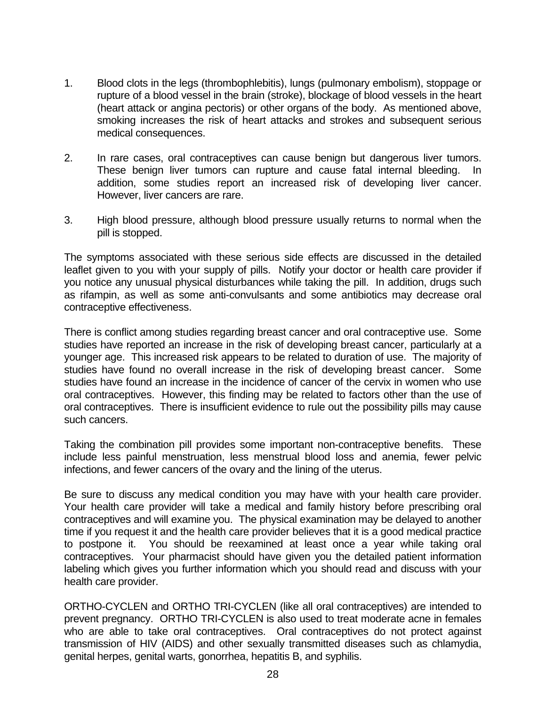- 1. Blood clots in the legs (thrombophlebitis), lungs (pulmonary embolism), stoppage or rupture of a blood vessel in the brain (stroke), blockage of blood vessels in the heart (heart attack or angina pectoris) or other organs of the body. As mentioned above, smoking increases the risk of heart attacks and strokes and subsequent serious medical consequences.
- 2. In rare cases, oral contraceptives can cause benign but dangerous liver tumors. These benign liver tumors can rupture and cause fatal internal bleeding. In addition, some studies report an increased risk of developing liver cancer. However, liver cancers are rare.
- 3. High blood pressure, although blood pressure usually returns to normal when the pill is stopped.

The symptoms associated with these serious side effects are discussed in the detailed leaflet given to you with your supply of pills. Notify your doctor or health care provider if you notice any unusual physical disturbances while taking the pill. In addition, drugs such as rifampin, as well as some anti-convulsants and some antibiotics may decrease oral contraceptive effectiveness.

There is conflict among studies regarding breast cancer and oral contraceptive use. Some studies have reported an increase in the risk of developing breast cancer, particularly at a younger age. This increased risk appears to be related to duration of use. The majority of studies have found no overall increase in the risk of developing breast cancer. Some studies have found an increase in the incidence of cancer of the cervix in women who use oral contraceptives. However, this finding may be related to factors other than the use of oral contraceptives. There is insufficient evidence to rule out the possibility pills may cause such cancers.

Taking the combination pill provides some important non-contraceptive benefits. These include less painful menstruation, less menstrual blood loss and anemia, fewer pelvic infections, and fewer cancers of the ovary and the lining of the uterus.

Be sure to discuss any medical condition you may have with your health care provider. Your health care provider will take a medical and family history before prescribing oral contraceptives and will examine you. The physical examination may be delayed to another time if you request it and the health care provider believes that it is a good medical practice to postpone it. You should be reexamined at least once a year while taking oral contraceptives. Your pharmacist should have given you the detailed patient information labeling which gives you further information which you should read and discuss with your health care provider.

ORTHO-CYCLEN and ORTHO TRI-CYCLEN (like all oral contraceptives) are intended to prevent pregnancy. ORTHO TRI-CYCLEN is also used to treat moderate acne in females who are able to take oral contraceptives. Oral contraceptives do not protect against transmission of HIV (AIDS) and other sexually transmitted diseases such as chlamydia, genital herpes, genital warts, gonorrhea, hepatitis B, and syphilis.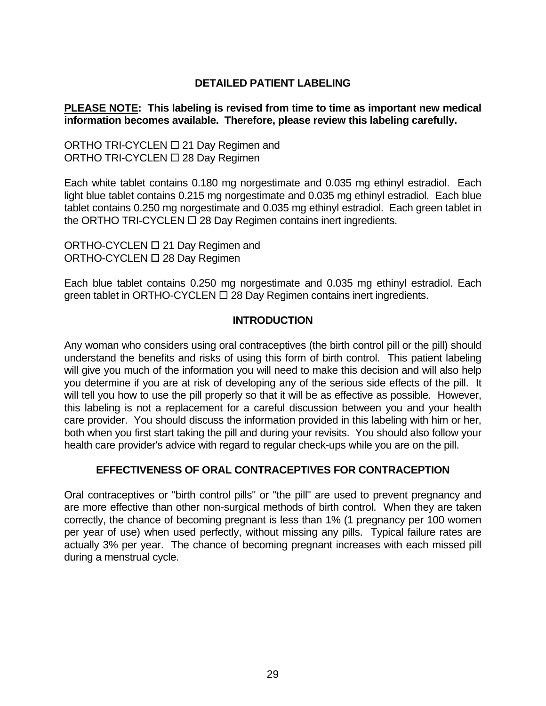# **DETAILED PATIENT LABELING**

**PLEASE NOTE: This labeling is revised from time to time as important new medical information becomes available. Therefore, please review this labeling carefully.** 

ORTHO TRI-CYCLEN  $\Box$  21 Day Regimen and ORTHO TRI-CYCLEN 28 Day Regimen

Each white tablet contains 0.180 mg norgestimate and 0.035 mg ethinyl estradiol. Each light blue tablet contains 0.215 mg norgestimate and 0.035 mg ethinyl estradiol. Each blue tablet contains 0.250 mg norgestimate and 0.035 mg ethinyl estradiol. Each green tablet in the ORTHO TRI-CYCLEN  $\Box$  28 Day Regimen contains inert ingredients.

ORTHO-CYCLEN  $\Box$  21 Day Regimen and ORTHO-CYCLEN 28 Day Regimen

Each blue tablet contains 0.250 mg norgestimate and 0.035 mg ethinyl estradiol. Each green tablet in ORTHO-CYCLEN  $\Box$  28 Day Regimen contains inert ingredients.

# **INTRODUCTION**

Any woman who considers using oral contraceptives (the birth control pill or the pill) should understand the benefits and risks of using this form of birth control. This patient labeling will give you much of the information you will need to make this decision and will also help you determine if you are at risk of developing any of the serious side effects of the pill. It will tell you how to use the pill properly so that it will be as effective as possible. However, this labeling is not a replacement for a careful discussion between you and your health care provider. You should discuss the information provided in this labeling with him or her, both when you first start taking the pill and during your revisits. You should also follow your health care provider's advice with regard to regular check-ups while you are on the pill.

# **EFFECTIVENESS OF ORAL CONTRACEPTIVES FOR CONTRACEPTION**

Oral contraceptives or "birth control pills" or "the pill" are used to prevent pregnancy and are more effective than other non-surgical methods of birth control. When they are taken correctly, the chance of becoming pregnant is less than 1% (1 pregnancy per 100 women per year of use) when used perfectly, without missing any pills. Typical failure rates are actually 3% per year. The chance of becoming pregnant increases with each missed pill during a menstrual cycle.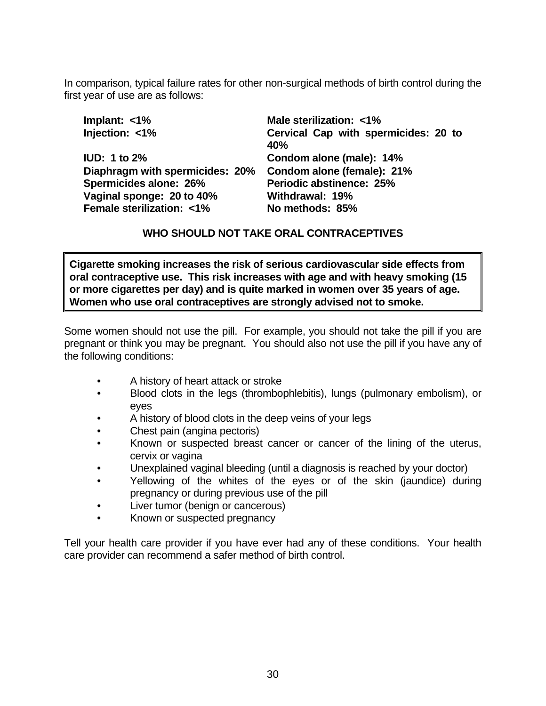In comparison, typical failure rates for other non-surgical methods of birth control during the first year of use are as follows:

| Implant: $\langle$ 1%           | Male sterilization: <1%              |
|---------------------------------|--------------------------------------|
| Injection: <1%                  | Cervical Cap with spermicides: 20 to |
|                                 | 40%                                  |
| ID: 1 to 2%                     | Condom alone (male): 14%             |
| Diaphragm with spermicides: 20% | Condom alone (female): 21%           |
| Spermicides alone: 26%          | Periodic abstinence: 25%             |
| Vaginal sponge: 20 to 40%       | <b>Withdrawal: 19%</b>               |
| Female sterilization: <1%       | No methods: 85%                      |

## **WHO SHOULD NOT TAKE ORAL CONTRACEPTIVES**

**Cigarette smoking increases the risk of serious cardiovascular side effects from oral contraceptive use. This risk increases with age and with heavy smoking (15 or more cigarettes per day) and is quite marked in women over 35 years of age. Women who use oral contraceptives are strongly advised not to smoke.**

Some women should not use the pill. For example, you should not take the pill if you are pregnant or think you may be pregnant. You should also not use the pill if you have any of the following conditions:

- A history of heart attack or stroke
- Blood clots in the legs (thrombophlebitis), lungs (pulmonary embolism), or eyes
- A history of blood clots in the deep veins of your legs
- Chest pain (angina pectoris)
- Known or suspected breast cancer or cancer of the lining of the uterus, cervix or vagina
- Unexplained vaginal bleeding (until a diagnosis is reached by your doctor)
- Yellowing of the whites of the eyes or of the skin (jaundice) during pregnancy or during previous use of the pill
- Liver tumor (benign or cancerous)
- Known or suspected pregnancy

Tell your health care provider if you have ever had any of these conditions. Your health care provider can recommend a safer method of birth control.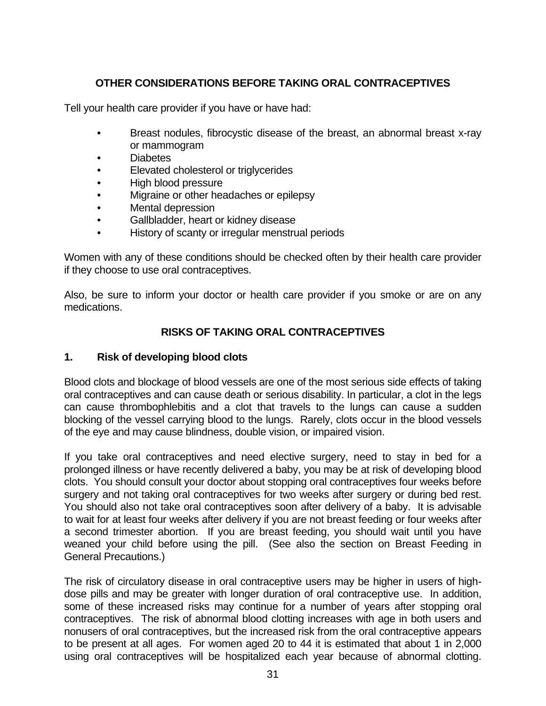# **OTHER CONSIDERATIONS BEFORE TAKING ORAL CONTRACEPTIVES**

Tell your health care provider if you have or have had:

- Breast nodules, fibrocystic disease of the breast, an abnormal breast x-ray or mammogram
- Diabetes
- Elevated cholesterol or triglycerides
- High blood pressure
- Migraine or other headaches or epilepsy
- Mental depression
- Gallbladder, heart or kidney disease
- History of scanty or irregular menstrual periods

Women with any of these conditions should be checked often by their health care provider if they choose to use oral contraceptives.

Also, be sure to inform your doctor or health care provider if you smoke or are on any medications.

# **RISKS OF TAKING ORAL CONTRACEPTIVES**

## **1. Risk of developing blood clots**

Blood clots and blockage of blood vessels are one of the most serious side effects of taking oral contraceptives and can cause death or serious disability. In particular, a clot in the legs can cause thrombophlebitis and a clot that travels to the lungs can cause a sudden blocking of the vessel carrying blood to the lungs. Rarely, clots occur in the blood vessels of the eye and may cause blindness, double vision, or impaired vision.

If you take oral contraceptives and need elective surgery, need to stay in bed for a prolonged illness or have recently delivered a baby, you may be at risk of developing blood clots. You should consult your doctor about stopping oral contraceptives four weeks before surgery and not taking oral contraceptives for two weeks after surgery or during bed rest. You should also not take oral contraceptives soon after delivery of a baby. It is advisable to wait for at least four weeks after delivery if you are not breast feeding or four weeks after a second trimester abortion. If you are breast feeding, you should wait until you have weaned your child before using the pill. (See also the section on Breast Feeding in General Precautions.)

The risk of circulatory disease in oral contraceptive users may be higher in users of highdose pills and may be greater with longer duration of oral contraceptive use. In addition, some of these increased risks may continue for a number of years after stopping oral contraceptives. The risk of abnormal blood clotting increases with age in both users and nonusers of oral contraceptives, but the increased risk from the oral contraceptive appears to be present at all ages. For women aged 20 to 44 it is estimated that about 1 in 2,000 using oral contraceptives will be hospitalized each year because of abnormal clotting.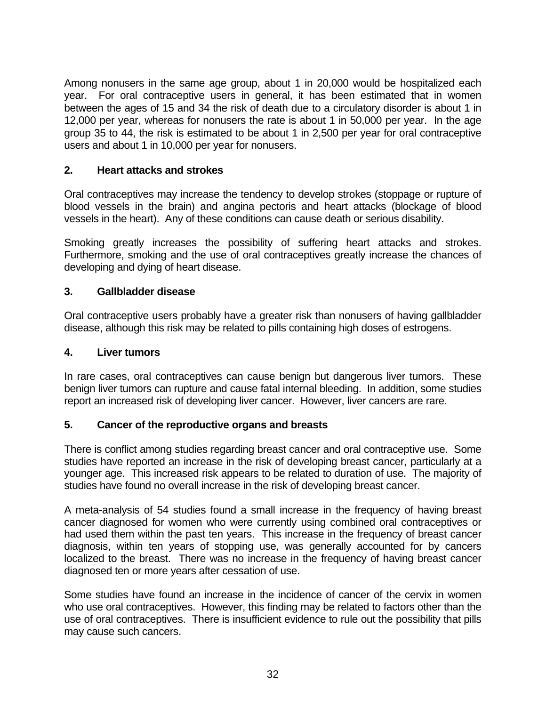Among nonusers in the same age group, about 1 in 20,000 would be hospitalized each year. For oral contraceptive users in general, it has been estimated that in women between the ages of 15 and 34 the risk of death due to a circulatory disorder is about 1 in 12,000 per year, whereas for nonusers the rate is about 1 in 50,000 per year. In the age group 35 to 44, the risk is estimated to be about 1 in 2,500 per year for oral contraceptive users and about 1 in 10,000 per year for nonusers.

# **2. Heart attacks and strokes**

Oral contraceptives may increase the tendency to develop strokes (stoppage or rupture of blood vessels in the brain) and angina pectoris and heart attacks (blockage of blood vessels in the heart). Any of these conditions can cause death or serious disability.

Smoking greatly increases the possibility of suffering heart attacks and strokes. Furthermore, smoking and the use of oral contraceptives greatly increase the chances of developing and dying of heart disease.

## **3. Gallbladder disease**

Oral contraceptive users probably have a greater risk than nonusers of having gallbladder disease, although this risk may be related to pills containing high doses of estrogens.

#### **4. Liver tumors**

In rare cases, oral contraceptives can cause benign but dangerous liver tumors. These benign liver tumors can rupture and cause fatal internal bleeding. In addition, some studies report an increased risk of developing liver cancer. However, liver cancers are rare.

## **5. Cancer of the reproductive organs and breasts**

There is conflict among studies regarding breast cancer and oral contraceptive use. Some studies have reported an increase in the risk of developing breast cancer, particularly at a younger age. This increased risk appears to be related to duration of use. The majority of studies have found no overall increase in the risk of developing breast cancer.

A meta-analysis of 54 studies found a small increase in the frequency of having breast cancer diagnosed for women who were currently using combined oral contraceptives or had used them within the past ten years. This increase in the frequency of breast cancer diagnosis, within ten years of stopping use, was generally accounted for by cancers localized to the breast. There was no increase in the frequency of having breast cancer diagnosed ten or more years after cessation of use.

Some studies have found an increase in the incidence of cancer of the cervix in women who use oral contraceptives. However, this finding may be related to factors other than the use of oral contraceptives. There is insufficient evidence to rule out the possibility that pills may cause such cancers.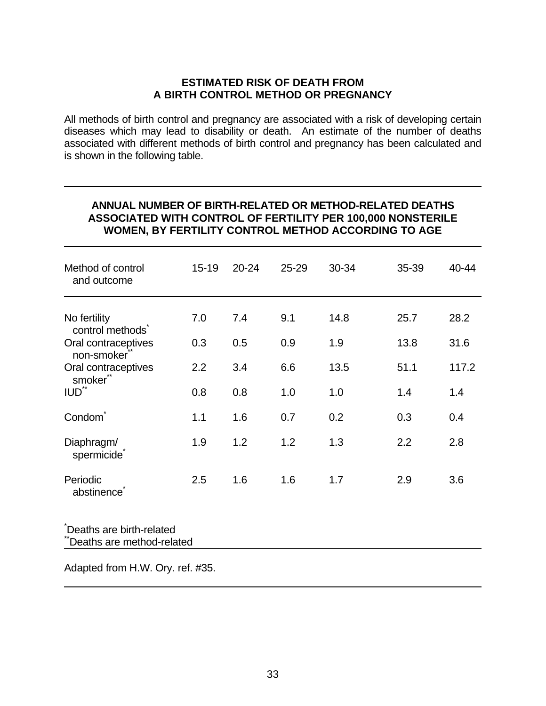## **ESTIMATED RISK OF DEATH FROM A BIRTH CONTROL METHOD OR PREGNANCY**

All methods of birth control and pregnancy are associated with a risk of developing certain diseases which may lead to disability or death. An estimate of the number of deaths associated with different methods of birth control and pregnancy has been calculated and is shown in the following table.

## **ANNUAL NUMBER OF BIRTH-RELATED OR METHOD-RELATED DEATHS ASSOCIATED WITH CONTROL OF FERTILITY PER 100,000 NONSTERILE WOMEN, BY FERTILITY CONTROL METHOD ACCORDING TO AGE**

| Method of control<br>and outcome                      | $15 - 19$ | 20-24 | 25-29 | 30-34 | 35-39 | 40-44 |
|-------------------------------------------------------|-----------|-------|-------|-------|-------|-------|
|                                                       |           |       |       |       |       |       |
| No fertility<br>control methods                       | 7.0       | 7.4   | 9.1   | 14.8  | 25.7  | 28.2  |
| Oral contraceptives<br>non-smoker                     | 0.3       | 0.5   | 0.9   | 1.9   | 13.8  | 31.6  |
| Oral contraceptives                                   | 2.2       | 3.4   | 6.6   | 13.5  | 51.1  | 117.2 |
| smoker<br>$IUD$ **                                    | 0.8       | 0.8   | 1.0   | 1.0   | 1.4   | 1.4   |
| Condom <sup>®</sup>                                   | 1.1       | 1.6   | 0.7   | 0.2   | 0.3   | 0.4   |
| Diaphragm/<br>spermicide                              | 1.9       | 1.2   | 1.2   | 1.3   | 2.2   | 2.8   |
| Periodic<br>abstinence                                | 2.5       | 1.6   | 1.6   | 1.7   | 2.9   | 3.6   |
| Deaths are birth-related<br>Deaths are method-related |           |       |       |       |       |       |

Adapted from H.W. Ory. ref. #35.

 $\overline{a}$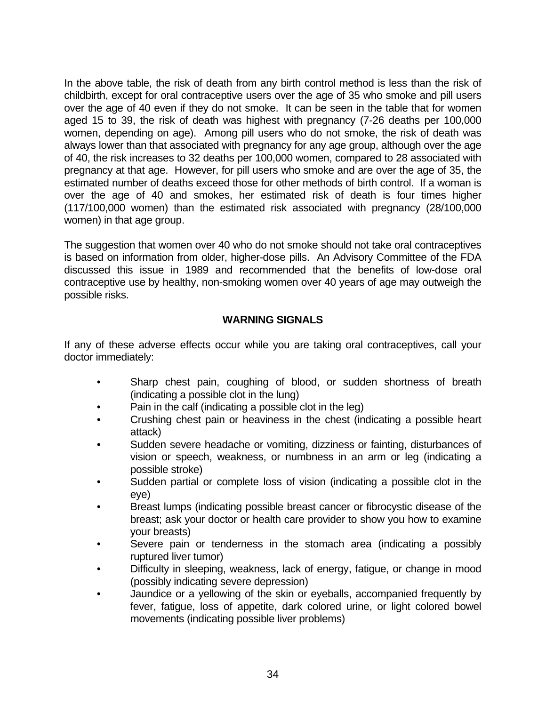In the above table, the risk of death from any birth control method is less than the risk of childbirth, except for oral contraceptive users over the age of 35 who smoke and pill users over the age of 40 even if they do not smoke. It can be seen in the table that for women aged 15 to 39, the risk of death was highest with pregnancy (7-26 deaths per 100,000 women, depending on age). Among pill users who do not smoke, the risk of death was always lower than that associated with pregnancy for any age group, although over the age of 40, the risk increases to 32 deaths per 100,000 women, compared to 28 associated with pregnancy at that age. However, for pill users who smoke and are over the age of 35, the estimated number of deaths exceed those for other methods of birth control. If a woman is over the age of 40 and smokes, her estimated risk of death is four times higher (117/100,000 women) than the estimated risk associated with pregnancy (28/100,000 women) in that age group.

The suggestion that women over 40 who do not smoke should not take oral contraceptives is based on information from older, higher-dose pills. An Advisory Committee of the FDA discussed this issue in 1989 and recommended that the benefits of low-dose oral contraceptive use by healthy, non-smoking women over 40 years of age may outweigh the possible risks.

# **WARNING SIGNALS**

If any of these adverse effects occur while you are taking oral contraceptives, call your doctor immediately:

- Sharp chest pain, coughing of blood, or sudden shortness of breath (indicating a possible clot in the lung)
- Pain in the calf (indicating a possible clot in the leg)
- Crushing chest pain or heaviness in the chest (indicating a possible heart attack)
- Sudden severe headache or vomiting, dizziness or fainting, disturbances of vision or speech, weakness, or numbness in an arm or leg (indicating a possible stroke)
- Sudden partial or complete loss of vision (indicating a possible clot in the eye)
- Breast lumps (indicating possible breast cancer or fibrocystic disease of the breast; ask your doctor or health care provider to show you how to examine your breasts)
- Severe pain or tenderness in the stomach area (indicating a possibly ruptured liver tumor)
- Difficulty in sleeping, weakness, lack of energy, fatigue, or change in mood (possibly indicating severe depression)
- Jaundice or a yellowing of the skin or eyeballs, accompanied frequently by fever, fatigue, loss of appetite, dark colored urine, or light colored bowel movements (indicating possible liver problems)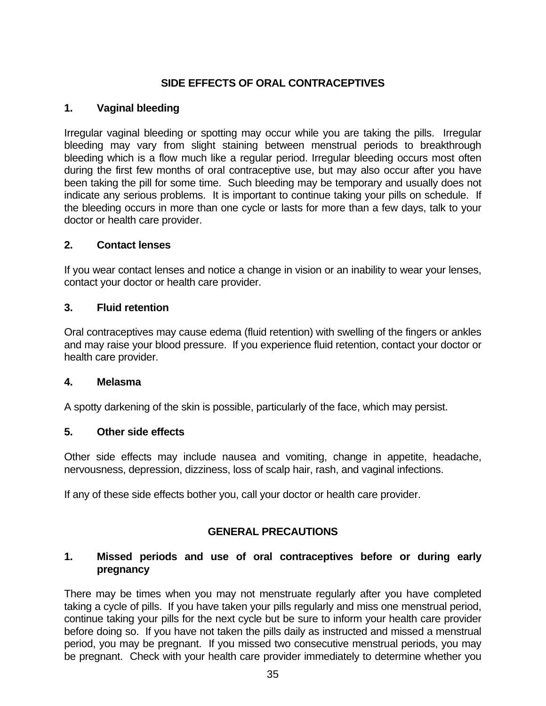# **SIDE EFFECTS OF ORAL CONTRACEPTIVES**

# **1. Vaginal bleeding**

Irregular vaginal bleeding or spotting may occur while you are taking the pills. Irregular bleeding may vary from slight staining between menstrual periods to breakthrough bleeding which is a flow much like a regular period. Irregular bleeding occurs most often during the first few months of oral contraceptive use, but may also occur after you have been taking the pill for some time. Such bleeding may be temporary and usually does not indicate any serious problems. It is important to continue taking your pills on schedule. If the bleeding occurs in more than one cycle or lasts for more than a few days, talk to your doctor or health care provider.

## **2. Contact lenses**

If you wear contact lenses and notice a change in vision or an inability to wear your lenses, contact your doctor or health care provider.

# **3. Fluid retention**

Oral contraceptives may cause edema (fluid retention) with swelling of the fingers or ankles and may raise your blood pressure. If you experience fluid retention, contact your doctor or health care provider.

## **4. Melasma**

A spotty darkening of the skin is possible, particularly of the face, which may persist.

## **5. Other side effects**

Other side effects may include nausea and vomiting, change in appetite, headache, nervousness, depression, dizziness, loss of scalp hair, rash, and vaginal infections.

If any of these side effects bother you, call your doctor or health care provider.

# **GENERAL PRECAUTIONS**

# **1. Missed periods and use of oral contraceptives before or during early pregnancy**

There may be times when you may not menstruate regularly after you have completed taking a cycle of pills. If you have taken your pills regularly and miss one menstrual period, continue taking your pills for the next cycle but be sure to inform your health care provider before doing so. If you have not taken the pills daily as instructed and missed a menstrual period, you may be pregnant. If you missed two consecutive menstrual periods, you may be pregnant. Check with your health care provider immediately to determine whether you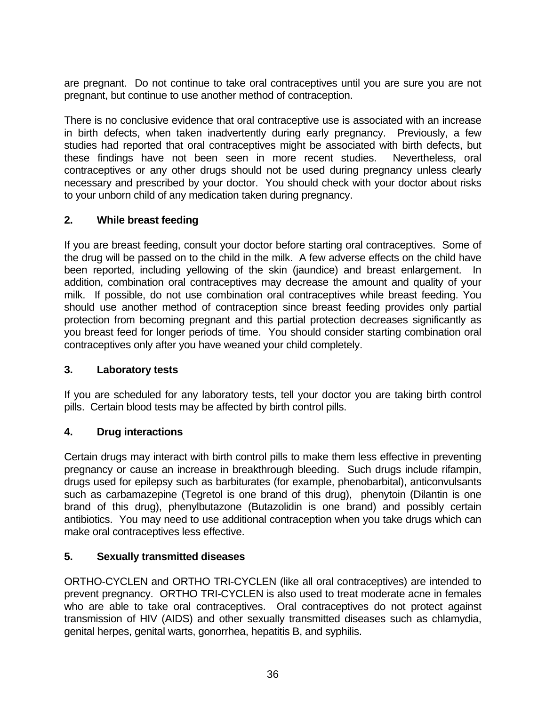are pregnant. Do not continue to take oral contraceptives until you are sure you are not pregnant, but continue to use another method of contraception.

There is no conclusive evidence that oral contraceptive use is associated with an increase in birth defects, when taken inadvertently during early pregnancy. Previously, a few studies had reported that oral contraceptives might be associated with birth defects, but these findings have not been seen in more recent studies. Nevertheless, oral contraceptives or any other drugs should not be used during pregnancy unless clearly necessary and prescribed by your doctor. You should check with your doctor about risks to your unborn child of any medication taken during pregnancy.

# **2. While breast feeding**

If you are breast feeding, consult your doctor before starting oral contraceptives. Some of the drug will be passed on to the child in the milk. A few adverse effects on the child have been reported, including yellowing of the skin (jaundice) and breast enlargement. In addition, combination oral contraceptives may decrease the amount and quality of your milk. If possible, do not use combination oral contraceptives while breast feeding. You should use another method of contraception since breast feeding provides only partial protection from becoming pregnant and this partial protection decreases significantly as you breast feed for longer periods of time. You should consider starting combination oral contraceptives only after you have weaned your child completely.

# **3. Laboratory tests**

If you are scheduled for any laboratory tests, tell your doctor you are taking birth control pills. Certain blood tests may be affected by birth control pills.

# **4. Drug interactions**

Certain drugs may interact with birth control pills to make them less effective in preventing pregnancy or cause an increase in breakthrough bleeding. Such drugs include rifampin, drugs used for epilepsy such as barbiturates (for example, phenobarbital), anticonvulsants such as carbamazepine (Tegretol is one brand of this drug), phenytoin (Dilantin is one brand of this drug), phenylbutazone (Butazolidin is one brand) and possibly certain antibiotics. You may need to use additional contraception when you take drugs which can make oral contraceptives less effective.

# **5. Sexually transmitted diseases**

ORTHO-CYCLEN and ORTHO TRI-CYCLEN (like all oral contraceptives) are intended to prevent pregnancy. ORTHO TRI-CYCLEN is also used to treat moderate acne in females who are able to take oral contraceptives. Oral contraceptives do not protect against transmission of HIV (AIDS) and other sexually transmitted diseases such as chlamydia, genital herpes, genital warts, gonorrhea, hepatitis B, and syphilis.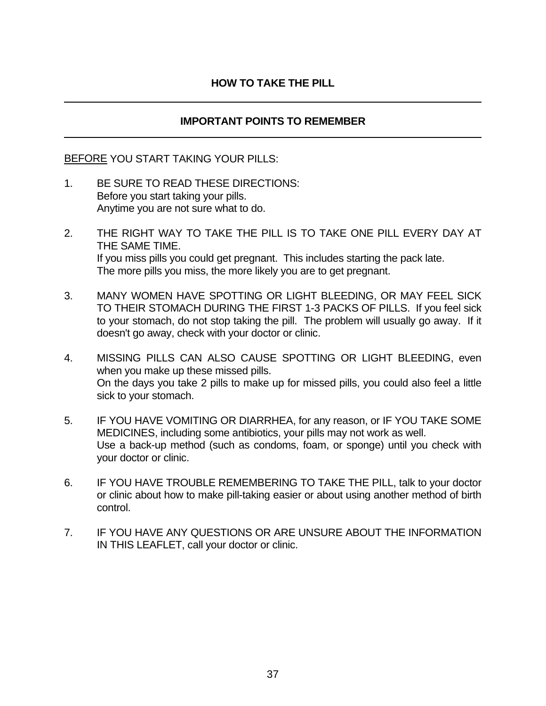# **IMPORTANT POINTS TO REMEMBER**

#### BEFORE YOU START TAKING YOUR PILLS:

l

- 1. BE SURE TO READ THESE DIRECTIONS: Before you start taking your pills. Anytime you are not sure what to do.
- 2. THE RIGHT WAY TO TAKE THE PILL IS TO TAKE ONE PILL EVERY DAY AT THE SAME TIME. If you miss pills you could get pregnant. This includes starting the pack late. The more pills you miss, the more likely you are to get pregnant.
- 3. MANY WOMEN HAVE SPOTTING OR LIGHT BLEEDING, OR MAY FEEL SICK TO THEIR STOMACH DURING THE FIRST 1-3 PACKS OF PILLS. If you feel sick to your stomach, do not stop taking the pill. The problem will usually go away. If it doesn't go away, check with your doctor or clinic.
- 4. MISSING PILLS CAN ALSO CAUSE SPOTTING OR LIGHT BLEEDING, even when you make up these missed pills. On the days you take 2 pills to make up for missed pills, you could also feel a little sick to your stomach.
- 5. IF YOU HAVE VOMITING OR DIARRHEA, for any reason, or IF YOU TAKE SOME MEDICINES, including some antibiotics, your pills may not work as well. Use a back-up method (such as condoms, foam, or sponge) until you check with your doctor or clinic.
- 6. IF YOU HAVE TROUBLE REMEMBERING TO TAKE THE PILL, talk to your doctor or clinic about how to make pill-taking easier or about using another method of birth control.
- 7. IF YOU HAVE ANY QUESTIONS OR ARE UNSURE ABOUT THE INFORMATION IN THIS LEAFLET, call your doctor or clinic.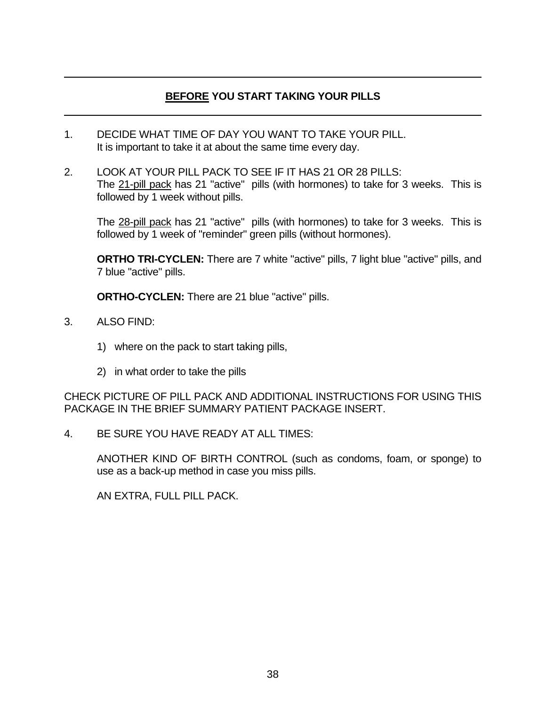# **BEFORE YOU START TAKING YOUR PILLS**

- 1. DECIDE WHAT TIME OF DAY YOU WANT TO TAKE YOUR PILL. It is important to take it at about the same time every day.
- 2. LOOK AT YOUR PILL PACK TO SEE IF IT HAS 21 OR 28 PILLS: The 21-pill pack has 21 "active" pills (with hormones) to take for 3 weeks. This is followed by 1 week without pills.

 The 28-pill pack has 21 "active" pills (with hormones) to take for 3 weeks. This is followed by 1 week of "reminder" green pills (without hormones).

**ORTHO TRI-CYCLEN:** There are 7 white "active" pills, 7 light blue "active" pills, and 7 blue "active" pills.

 **ORTHO-CYCLEN:** There are 21 blue "active" pills.

- 3. ALSO FIND:
	- 1) where on the pack to start taking pills,
	- 2) in what order to take the pills

CHECK PICTURE OF PILL PACK AND ADDITIONAL INSTRUCTIONS FOR USING THIS PACKAGE IN THE BRIEF SUMMARY PATIENT PACKAGE INSERT.

4. BE SURE YOU HAVE READY AT ALL TIMES:

 ANOTHER KIND OF BIRTH CONTROL (such as condoms, foam, or sponge) to use as a back-up method in case you miss pills.

AN EXTRA, FULL PILL PACK.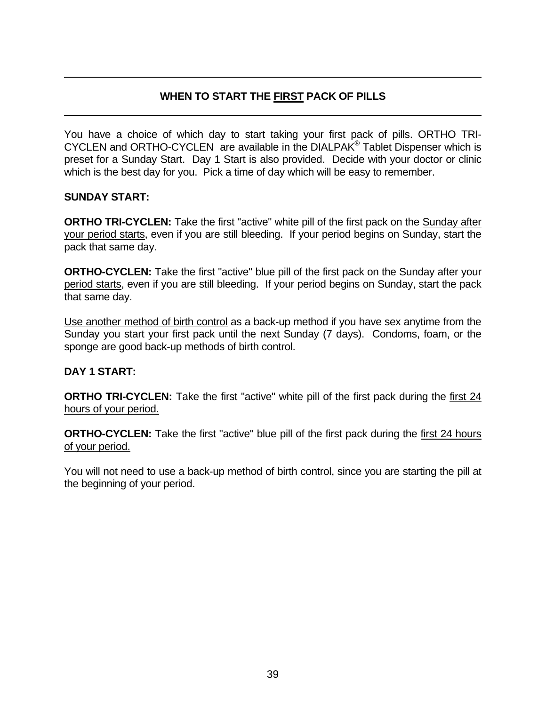# **WHEN TO START THE FIRST PACK OF PILLS**

You have a choice of which day to start taking your first pack of pills. ORTHO TRI-CYCLEN and ORTHO-CYCLEN are available in the DIALPAK® Tablet Dispenser which is preset for a Sunday Start. Day 1 Start is also provided. Decide with your doctor or clinic which is the best day for you. Pick a time of day which will be easy to remember.

## **SUNDAY START:**

**ORTHO TRI-CYCLEN:** Take the first "active" white pill of the first pack on the Sunday after your period starts, even if you are still bleeding. If your period begins on Sunday, start the pack that same day.

**ORTHO-CYCLEN:** Take the first "active" blue pill of the first pack on the Sunday after your period starts, even if you are still bleeding. If your period begins on Sunday, start the pack that same day.

Use another method of birth control as a back-up method if you have sex anytime from the Sunday you start your first pack until the next Sunday (7 days). Condoms, foam, or the sponge are good back-up methods of birth control.

## **DAY 1 START:**

**ORTHO TRI-CYCLEN:** Take the first "active" white pill of the first pack during the first 24 hours of your period.

**ORTHO-CYCLEN:** Take the first "active" blue pill of the first pack during the first 24 hours of your period.

You will not need to use a back-up method of birth control, since you are starting the pill at the beginning of your period.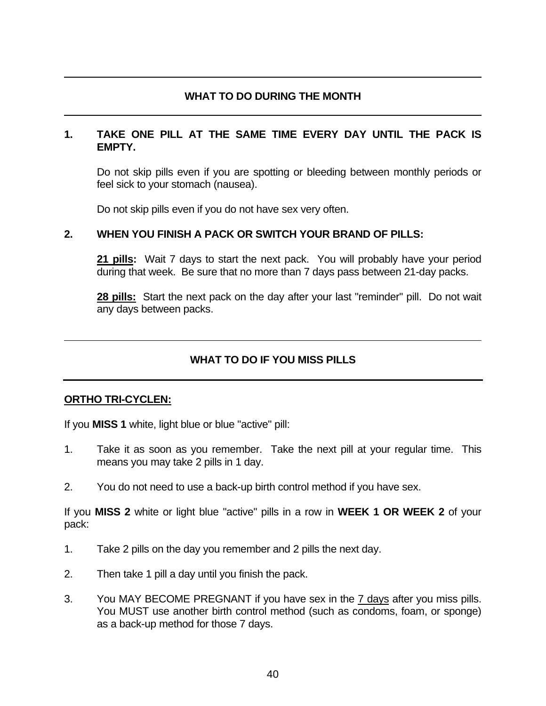# **WHAT TO DO DURING THE MONTH**

## **1. TAKE ONE PILL AT THE SAME TIME EVERY DAY UNTIL THE PACK IS EMPTY.**

 Do not skip pills even if you are spotting or bleeding between monthly periods or feel sick to your stomach (nausea).

Do not skip pills even if you do not have sex very often.

#### **2. WHEN YOU FINISH A PACK OR SWITCH YOUR BRAND OF PILLS:**

 **21 pills:** Wait 7 days to start the next pack. You will probably have your period during that week. Be sure that no more than 7 days pass between 21-day packs.

 **28 pills:** Start the next pack on the day after your last "reminder" pill. Do not wait any days between packs.

## **WHAT TO DO IF YOU MISS PILLS**

## **ORTHO TRI-CYCLEN:**

If you **MISS 1** white, light blue or blue "active" pill:

- 1. Take it as soon as you remember. Take the next pill at your regular time. This means you may take 2 pills in 1 day.
- 2. You do not need to use a back-up birth control method if you have sex.

If you **MISS 2** white or light blue "active" pills in a row in **WEEK 1 OR WEEK 2** of your pack:

- 1. Take 2 pills on the day you remember and 2 pills the next day.
- 2. Then take 1 pill a day until you finish the pack.
- 3. You MAY BECOME PREGNANT if you have sex in the 7 days after you miss pills. You MUST use another birth control method (such as condoms, foam, or sponge) as a back-up method for those 7 days.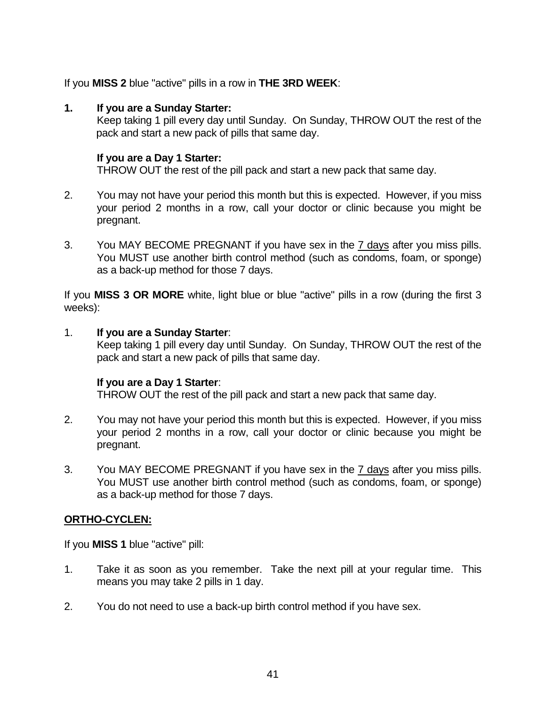# If you **MISS 2** blue "active" pills in a row in **THE 3RD WEEK**:

#### **1. If you are a Sunday Starter:**

 Keep taking 1 pill every day until Sunday. On Sunday, THROW OUT the rest of the pack and start a new pack of pills that same day.

## **If you are a Day 1 Starter:**

THROW OUT the rest of the pill pack and start a new pack that same day.

- 2. You may not have your period this month but this is expected. However, if you miss your period 2 months in a row, call your doctor or clinic because you might be pregnant.
- 3. You MAY BECOME PREGNANT if you have sex in the 7 days after you miss pills. You MUST use another birth control method (such as condoms, foam, or sponge) as a back-up method for those 7 days.

If you **MISS 3 OR MORE** white, light blue or blue "active" pills in a row (during the first 3 weeks):

#### 1. **If you are a Sunday Starter**:

 Keep taking 1 pill every day until Sunday. On Sunday, THROW OUT the rest of the pack and start a new pack of pills that same day.

## **If you are a Day 1 Starter**:

THROW OUT the rest of the pill pack and start a new pack that same day.

- 2. You may not have your period this month but this is expected. However, if you miss your period 2 months in a row, call your doctor or clinic because you might be pregnant.
- 3. You MAY BECOME PREGNANT if you have sex in the 7 days after you miss pills. You MUST use another birth control method (such as condoms, foam, or sponge) as a back-up method for those 7 days.

## **ORTHO-CYCLEN:**

If you **MISS 1** blue "active" pill:

- 1. Take it as soon as you remember. Take the next pill at your regular time. This means you may take 2 pills in 1 day.
- 2. You do not need to use a back-up birth control method if you have sex.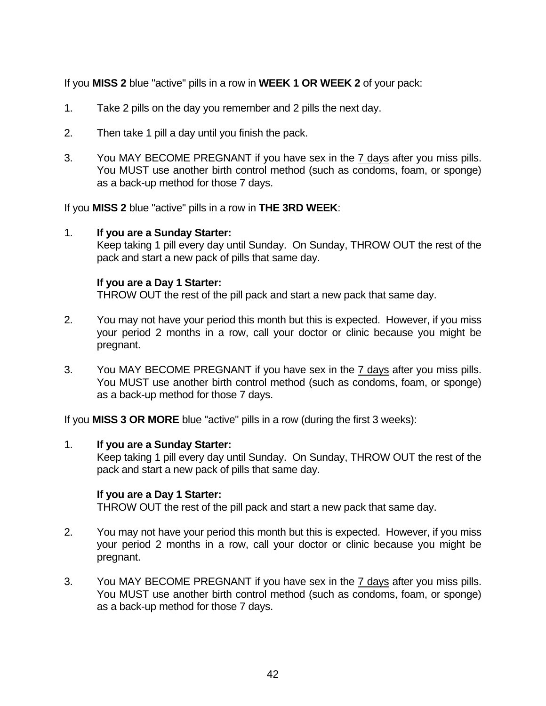If you **MISS 2** blue "active" pills in a row in **WEEK 1 OR WEEK 2** of your pack:

- 1. Take 2 pills on the day you remember and 2 pills the next day.
- 2. Then take 1 pill a day until you finish the pack.
- 3. You MAY BECOME PREGNANT if you have sex in the 7 days after you miss pills. You MUST use another birth control method (such as condoms, foam, or sponge) as a back-up method for those 7 days.

If you **MISS 2** blue "active" pills in a row in **THE 3RD WEEK**:

## 1. **If you are a Sunday Starter:**

 Keep taking 1 pill every day until Sunday. On Sunday, THROW OUT the rest of the pack and start a new pack of pills that same day.

## **If you are a Day 1 Starter:**

THROW OUT the rest of the pill pack and start a new pack that same day.

- 2. You may not have your period this month but this is expected. However, if you miss your period 2 months in a row, call your doctor or clinic because you might be pregnant.
- 3. You MAY BECOME PREGNANT if you have sex in the 7 days after you miss pills. You MUST use another birth control method (such as condoms, foam, or sponge) as a back-up method for those 7 days.

If you **MISS 3 OR MORE** blue "active" pills in a row (during the first 3 weeks):

## 1. **If you are a Sunday Starter:**

 Keep taking 1 pill every day until Sunday. On Sunday, THROW OUT the rest of the pack and start a new pack of pills that same day.

## **If you are a Day 1 Starter:**

THROW OUT the rest of the pill pack and start a new pack that same day.

- 2. You may not have your period this month but this is expected. However, if you miss your period 2 months in a row, call your doctor or clinic because you might be pregnant.
- 3. You MAY BECOME PREGNANT if you have sex in the 7 days after you miss pills. You MUST use another birth control method (such as condoms, foam, or sponge) as a back-up method for those 7 days.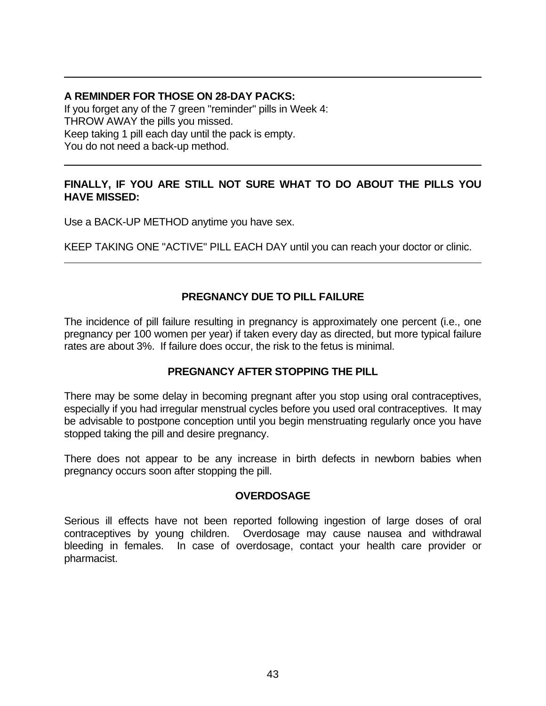# **A REMINDER FOR THOSE ON 28-DAY PACKS:**

If you forget any of the 7 green "reminder" pills in Week 4: THROW AWAY the pills you missed. Keep taking 1 pill each day until the pack is empty. You do not need a back-up method.

## **FINALLY, IF YOU ARE STILL NOT SURE WHAT TO DO ABOUT THE PILLS YOU HAVE MISSED:**

Use a BACK-UP METHOD anytime you have sex.

KEEP TAKING ONE "ACTIVE" PILL EACH DAY until you can reach your doctor or clinic.

# **PREGNANCY DUE TO PILL FAILURE**

The incidence of pill failure resulting in pregnancy is approximately one percent (i.e., one pregnancy per 100 women per year) if taken every day as directed, but more typical failure rates are about 3%. If failure does occur, the risk to the fetus is minimal.

# **PREGNANCY AFTER STOPPING THE PILL**

There may be some delay in becoming pregnant after you stop using oral contraceptives, especially if you had irregular menstrual cycles before you used oral contraceptives. It may be advisable to postpone conception until you begin menstruating regularly once you have stopped taking the pill and desire pregnancy.

There does not appear to be any increase in birth defects in newborn babies when pregnancy occurs soon after stopping the pill.

## **OVERDOSAGE**

Serious ill effects have not been reported following ingestion of large doses of oral contraceptives by young children. Overdosage may cause nausea and withdrawal bleeding in females. In case of overdosage, contact your health care provider or pharmacist.